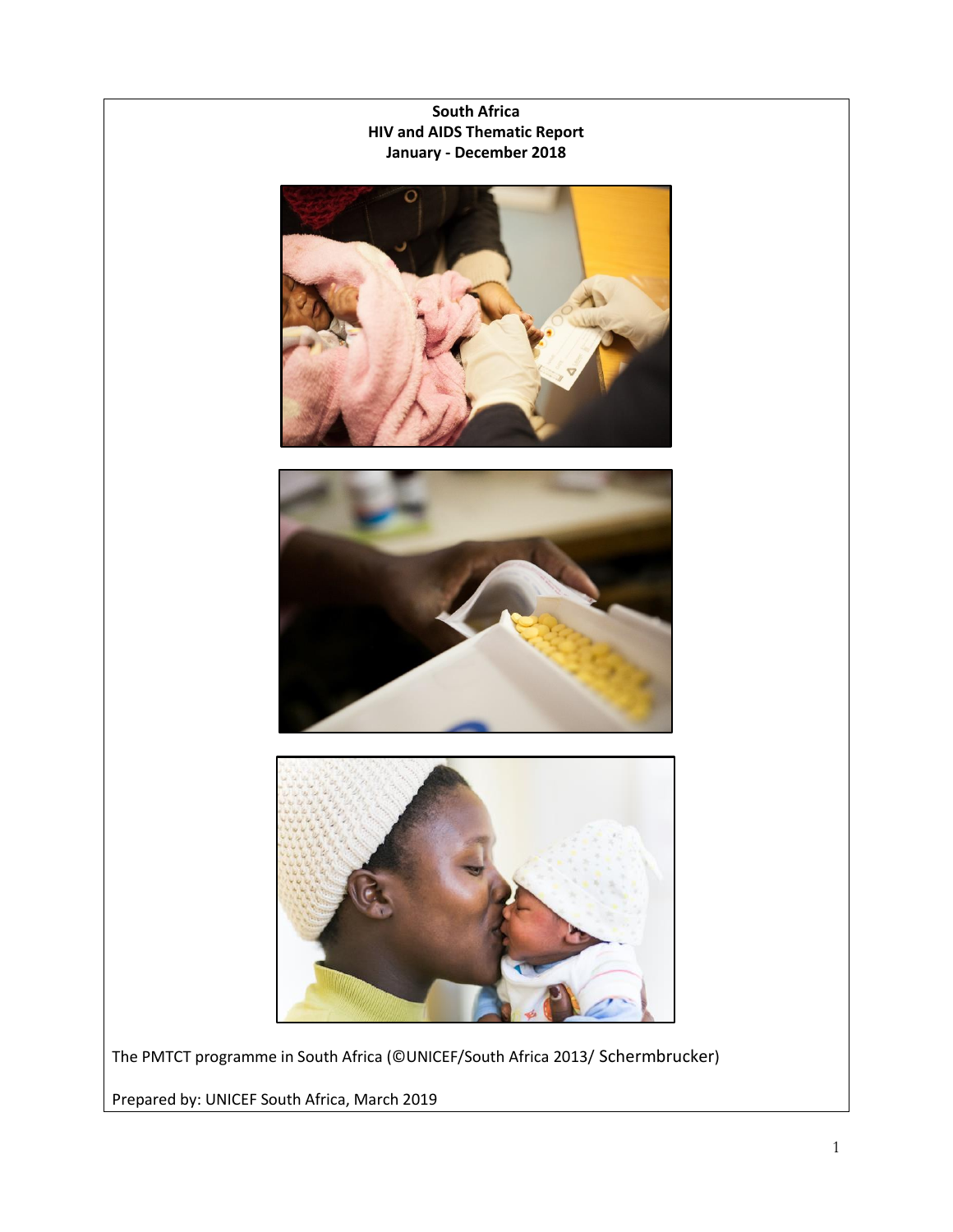

The PMTCT programme in South Africa (©UNICEF/South Africa 2013/ Schermbrucker)

Prepared by: UNICEF South Africa, March 2019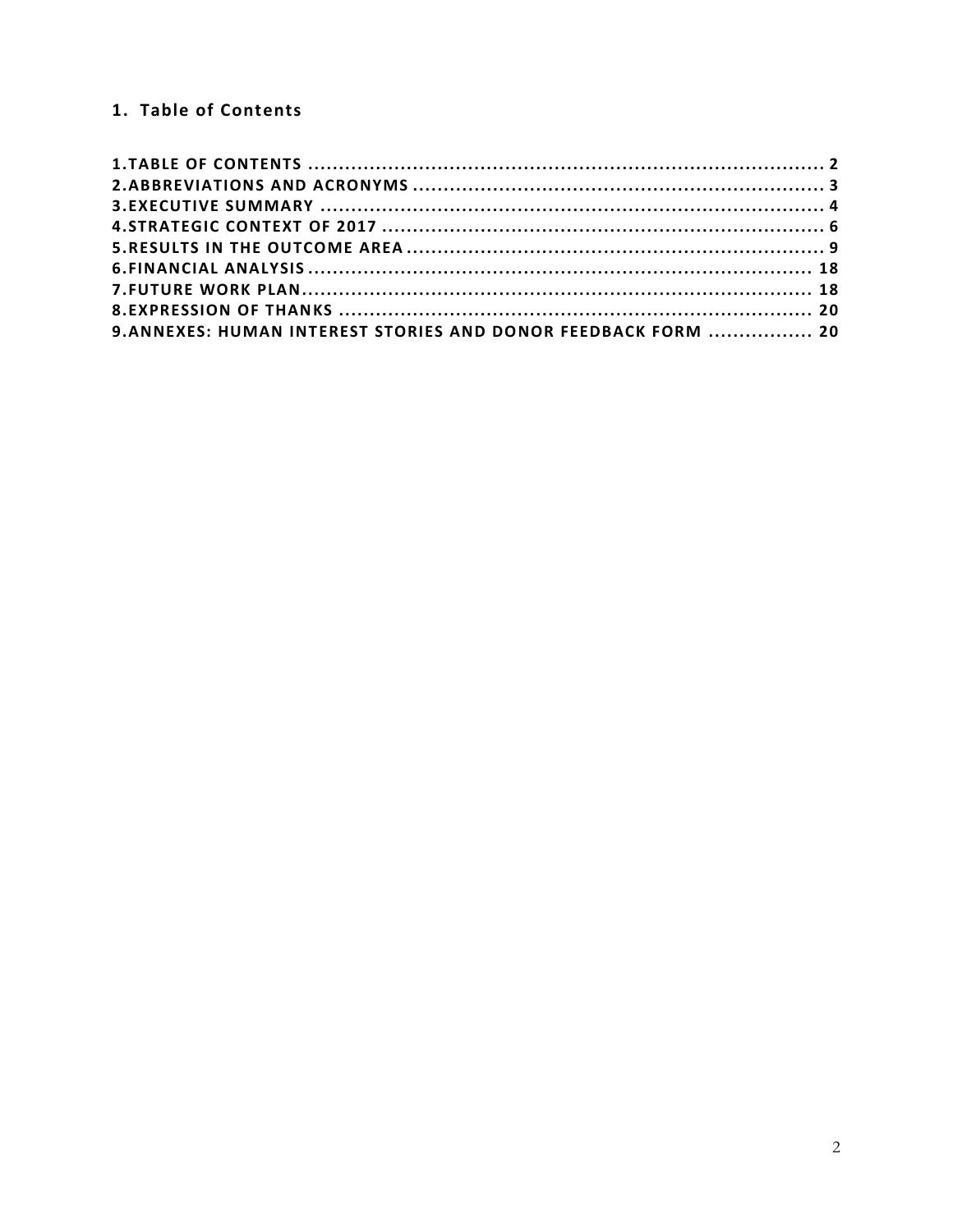# <span id="page-1-0"></span>1. Table of Contents

| 9. ANNEXES: HUMAN INTEREST STORIES AND DONOR FEEDBACK FORM  20 |  |
|----------------------------------------------------------------|--|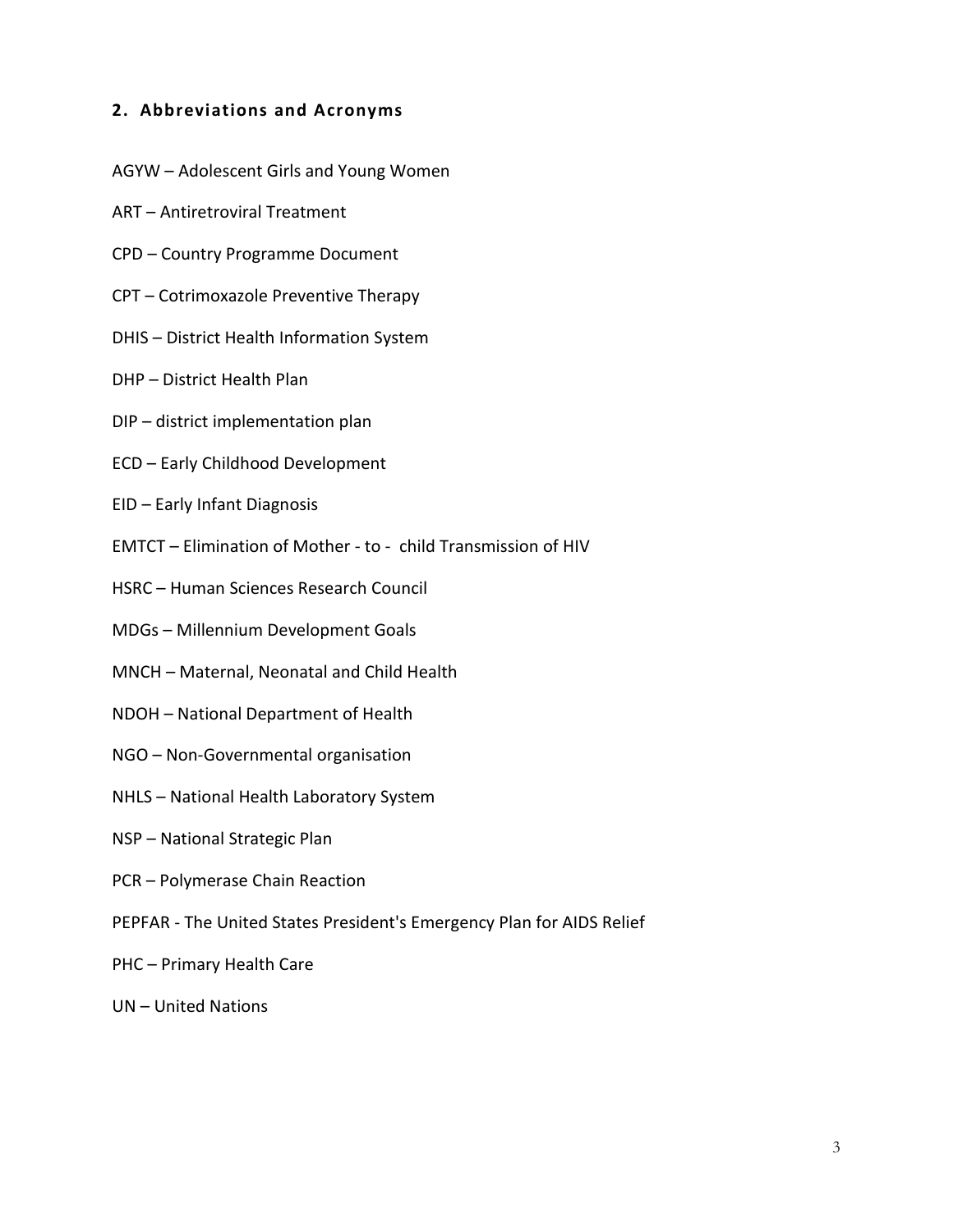### <span id="page-2-0"></span>**2. Abbreviations and Acronyms**

- AGYW Adolescent Girls and Young Women
- ART Antiretroviral Treatment
- CPD Country Programme Document
- CPT Cotrimoxazole Preventive Therapy
- DHIS District Health Information System
- DHP District Health Plan
- DIP district implementation plan
- ECD Early Childhood Development
- EID Early Infant Diagnosis
- EMTCT Elimination of Mother to child Transmission of HIV
- HSRC Human Sciences Research Council
- MDGs Millennium Development Goals
- MNCH Maternal, Neonatal and Child Health
- NDOH National Department of Health
- NGO Non-Governmental organisation
- NHLS National Health Laboratory System
- NSP National Strategic Plan
- PCR Polymerase Chain Reaction
- PEPFAR The United States President's Emergency Plan for AIDS Relief
- PHC Primary Health Care
- UN United Nations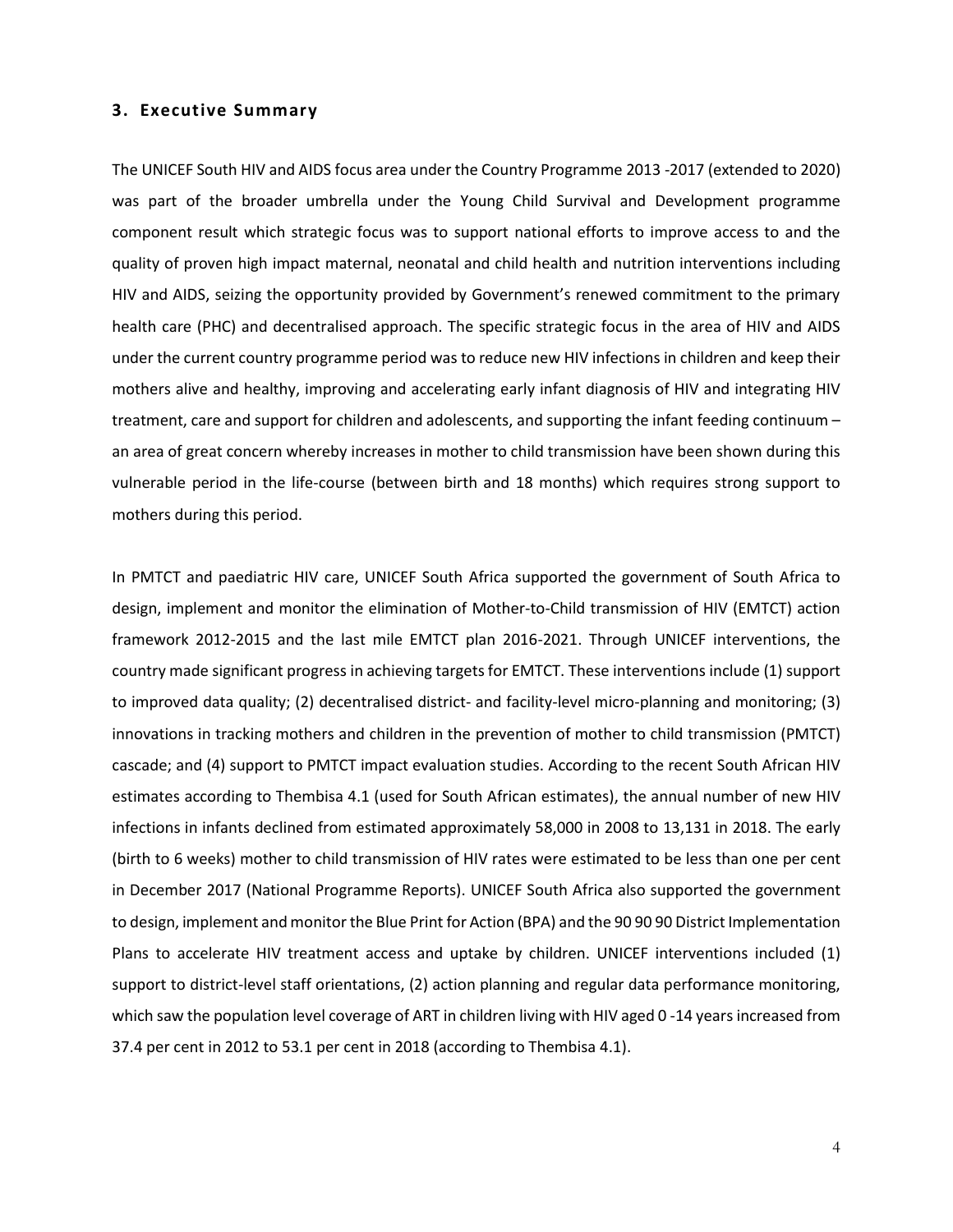#### <span id="page-3-0"></span>**3. Executive Summary**

The UNICEF South HIV and AIDS focus area under the Country Programme 2013 -2017 (extended to 2020) was part of the broader umbrella under the Young Child Survival and Development programme component result which strategic focus was to support national efforts to improve access to and the quality of proven high impact maternal, neonatal and child health and nutrition interventions including HIV and AIDS, seizing the opportunity provided by Government's renewed commitment to the primary health care (PHC) and decentralised approach. The specific strategic focus in the area of HIV and AIDS under the current country programme period was to reduce new HIV infections in children and keep their mothers alive and healthy, improving and accelerating early infant diagnosis of HIV and integrating HIV treatment, care and support for children and adolescents, and supporting the infant feeding continuum – an area of great concern whereby increases in mother to child transmission have been shown during this vulnerable period in the life-course (between birth and 18 months) which requires strong support to mothers during this period.

In PMTCT and paediatric HIV care, UNICEF South Africa supported the government of South Africa to design, implement and monitor the elimination of Mother-to-Child transmission of HIV (EMTCT) action framework 2012-2015 and the last mile EMTCT plan 2016-2021. Through UNICEF interventions, the country made significant progress in achieving targets for EMTCT. These interventions include (1) support to improved data quality; (2) decentralised district- and facility-level micro-planning and monitoring; (3) innovations in tracking mothers and children in the prevention of mother to child transmission (PMTCT) cascade; and (4) support to PMTCT impact evaluation studies. According to the recent South African HIV estimates according to Thembisa 4.1 (used for South African estimates), the annual number of new HIV infections in infants declined from estimated approximately 58,000 in 2008 to 13,131 in 2018. The early (birth to 6 weeks) mother to child transmission of HIV rates were estimated to be less than one per cent in December 2017 (National Programme Reports). UNICEF South Africa also supported the government to design, implement and monitor the Blue Print for Action (BPA) and the 90 90 90 District Implementation Plans to accelerate HIV treatment access and uptake by children. UNICEF interventions included (1) support to district-level staff orientations, (2) action planning and regular data performance monitoring, which saw the population level coverage of ART in children living with HIV aged 0 -14 years increased from 37.4 per cent in 2012 to 53.1 per cent in 2018 (according to Thembisa 4.1).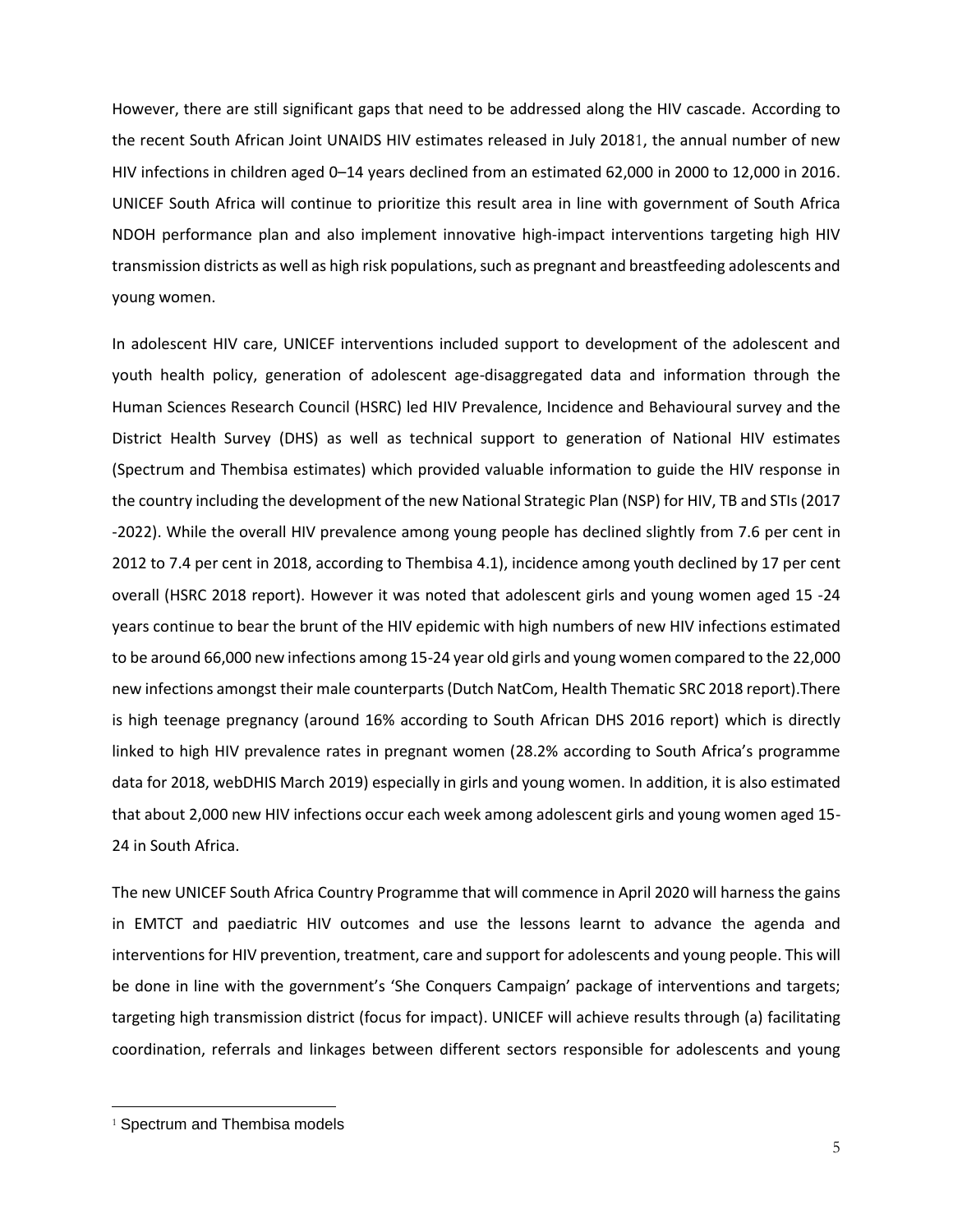However, there are still significant gaps that need to be addressed along the HIV cascade. According to the recent South African Joint UNAIDS HIV estimates released in July 20181, the annual number of new HIV infections in children aged 0–14 years declined from an estimated 62,000 in 2000 to 12,000 in 2016. UNICEF South Africa will continue to prioritize this result area in line with government of South Africa NDOH performance plan and also implement innovative high-impact interventions targeting high HIV transmission districts as well as high risk populations, such as pregnant and breastfeeding adolescents and young women.

In adolescent HIV care, UNICEF interventions included support to development of the adolescent and youth health policy, generation of adolescent age-disaggregated data and information through the Human Sciences Research Council (HSRC) led HIV Prevalence, Incidence and Behavioural survey and the District Health Survey (DHS) as well as technical support to generation of National HIV estimates (Spectrum and Thembisa estimates) which provided valuable information to guide the HIV response in the country including the development of the new National Strategic Plan (NSP) for HIV, TB and STIs (2017 -2022). While the overall HIV prevalence among young people has declined slightly from 7.6 per cent in 2012 to 7.4 per cent in 2018, according to Thembisa 4.1), incidence among youth declined by 17 per cent overall (HSRC 2018 report). However it was noted that adolescent girls and young women aged 15 -24 years continue to bear the brunt of the HIV epidemic with high numbers of new HIV infections estimated to be around 66,000 new infections among 15-24 year old girls and young women compared to the 22,000 new infections amongst their male counterparts (Dutch NatCom, Health Thematic SRC 2018 report).There is high teenage pregnancy (around 16% according to South African DHS 2016 report) which is directly linked to high HIV prevalence rates in pregnant women (28.2% according to South Africa's programme data for 2018, webDHIS March 2019) especially in girls and young women. In addition, it is also estimated that about 2,000 new HIV infections occur each week among adolescent girls and young women aged 15- 24 in South Africa.

The new UNICEF South Africa Country Programme that will commence in April 2020 will harness the gains in EMTCT and paediatric HIV outcomes and use the lessons learnt to advance the agenda and interventions for HIV prevention, treatment, care and support for adolescents and young people. This will be done in line with the government's 'She Conquers Campaign' package of interventions and targets; targeting high transmission district (focus for impact). UNICEF will achieve results through (a) facilitating coordination, referrals and linkages between different sectors responsible for adolescents and young

 $\overline{a}$ 

<sup>&</sup>lt;sup>1</sup> Spectrum and Thembisa models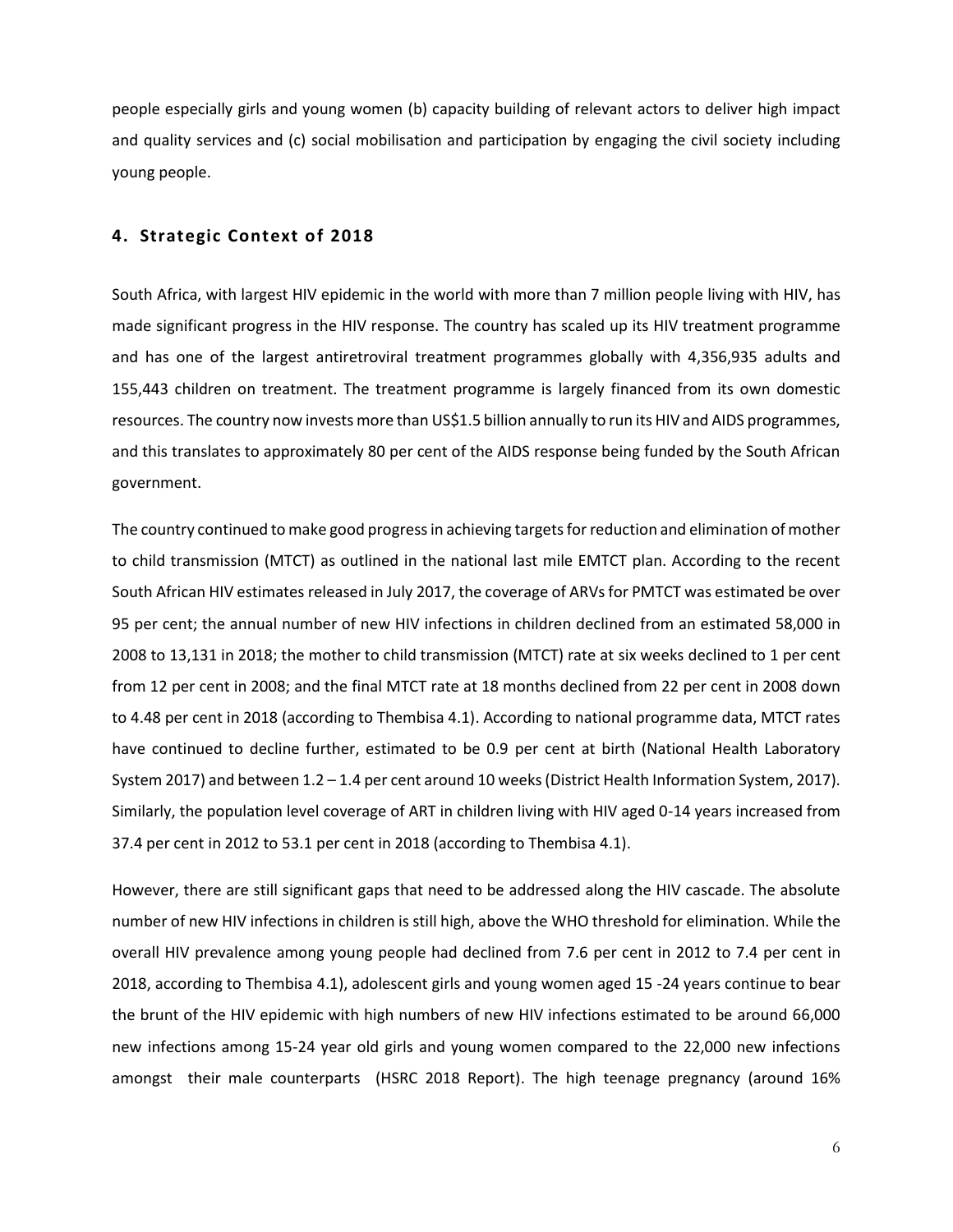people especially girls and young women (b) capacity building of relevant actors to deliver high impact and quality services and (c) social mobilisation and participation by engaging the civil society including young people.

#### <span id="page-5-0"></span>**4. Strategic Context of 2018**

South Africa, with largest HIV epidemic in the world with more than 7 million people living with HIV, has made significant progress in the HIV response. The country has scaled up its HIV treatment programme and has one of the largest antiretroviral treatment programmes globally with 4,356,935 adults and 155,443 children on treatment. The treatment programme is largely financed from its own domestic resources. The country now invests more than US\$1.5 billion annually to run its HIV and AIDS programmes, and this translates to approximately 80 per cent of the AIDS response being funded by the South African government.

The country continued to make good progress in achieving targets for reduction and elimination of mother to child transmission (MTCT) as outlined in the national last mile EMTCT plan. According to the recent South African HIV estimates released in July 2017, the coverage of ARVs for PMTCT was estimated be over 95 per cent; the annual number of new HIV infections in children declined from an estimated 58,000 in 2008 to 13,131 in 2018; the mother to child transmission (MTCT) rate at six weeks declined to 1 per cent from 12 per cent in 2008; and the final MTCT rate at 18 months declined from 22 per cent in 2008 down to 4.48 per cent in 2018 (according to Thembisa 4.1). According to national programme data, MTCT rates have continued to decline further, estimated to be 0.9 per cent at birth (National Health Laboratory System 2017) and between 1.2 – 1.4 per cent around 10 weeks (District Health Information System, 2017). Similarly, the population level coverage of ART in children living with HIV aged 0-14 years increased from 37.4 per cent in 2012 to 53.1 per cent in 2018 (according to Thembisa 4.1).

However, there are still significant gaps that need to be addressed along the HIV cascade. The absolute number of new HIV infections in children is still high, above the WHO threshold for elimination. While the overall HIV prevalence among young people had declined from 7.6 per cent in 2012 to 7.4 per cent in 2018, according to Thembisa 4.1), adolescent girls and young women aged 15 -24 years continue to bear the brunt of the HIV epidemic with high numbers of new HIV infections estimated to be around 66,000 new infections among 15-24 year old girls and young women compared to the 22,000 new infections amongst their male counterparts (HSRC 2018 Report). The high teenage pregnancy (around 16%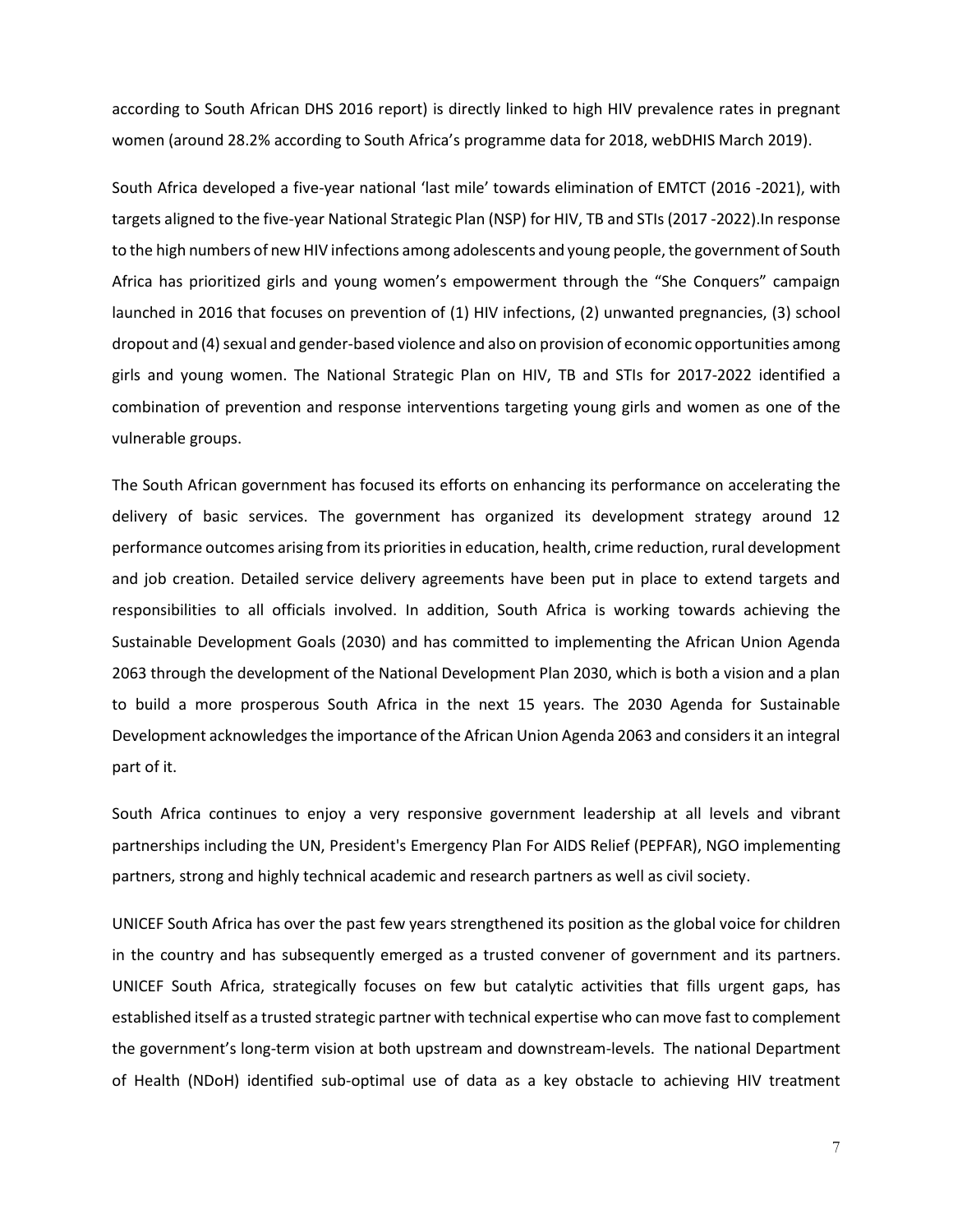according to South African DHS 2016 report) is directly linked to high HIV prevalence rates in pregnant women (around 28.2% according to South Africa's programme data for 2018, webDHIS March 2019).

South Africa developed a five-year national 'last mile' towards elimination of EMTCT (2016 -2021), with targets aligned to the five-year National Strategic Plan (NSP) for HIV, TB and STIs (2017 -2022).In response to the high numbers of new HIV infections among adolescents and young people, the government of South Africa has prioritized girls and young women's empowerment through the "She Conquers" campaign launched in 2016 that focuses on prevention of (1) HIV infections, (2) unwanted pregnancies, (3) school dropout and (4) sexual and gender-based violence and also on provision of economic opportunities among girls and young women. The National Strategic Plan on HIV, TB and STIs for 2017-2022 identified a combination of prevention and response interventions targeting young girls and women as one of the vulnerable groups.

The South African government has focused its efforts on enhancing its performance on accelerating the delivery of basic services. The government has organized its development strategy around 12 performance outcomes arising from its priorities in education, health, crime reduction, rural development and job creation. Detailed service delivery agreements have been put in place to extend targets and responsibilities to all officials involved. In addition, South Africa is working towards achieving the Sustainable Development Goals (2030) and has committed to implementing the African Union Agenda 2063 through the development of the National Development Plan 2030, which is both a vision and a plan to build a more prosperous South Africa in the next 15 years. The 2030 Agenda for Sustainable Development acknowledges the importance of the African Union Agenda 2063 and considers it an integral part of it.

South Africa continues to enjoy a very responsive government leadership at all levels and vibrant partnerships including the UN, President's Emergency Plan For AIDS Relief (PEPFAR), NGO implementing partners, strong and highly technical academic and research partners as well as civil society.

UNICEF South Africa has over the past few years strengthened its position as the global voice for children in the country and has subsequently emerged as a trusted convener of government and its partners. UNICEF South Africa, strategically focuses on few but catalytic activities that fills urgent gaps, has established itself as a trusted strategic partner with technical expertise who can move fast to complement the government's long-term vision at both upstream and downstream-levels. The national Department of Health (NDoH) identified sub-optimal use of data as a key obstacle to achieving HIV treatment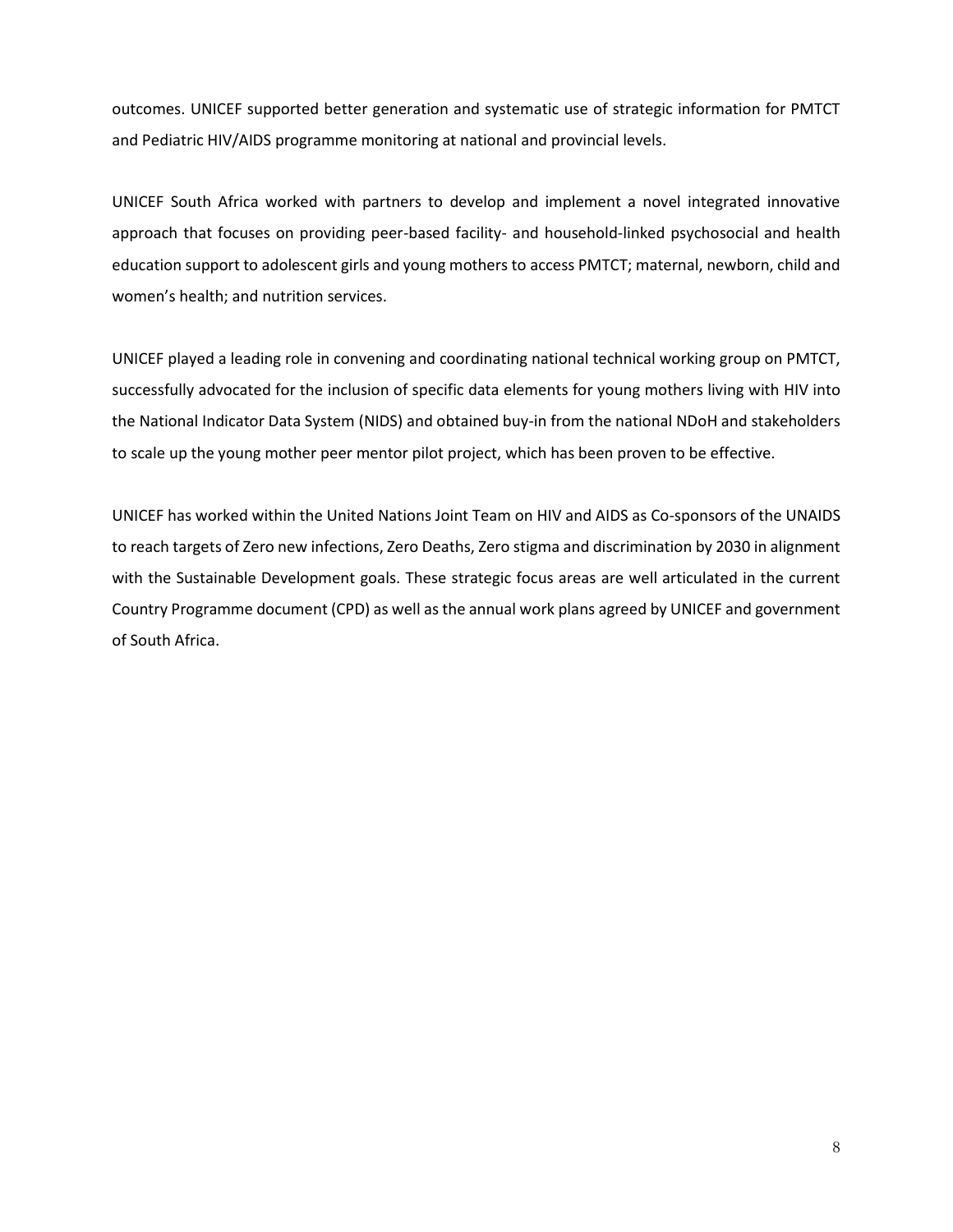outcomes. UNICEF supported better generation and systematic use of strategic information for PMTCT and Pediatric HIV/AIDS programme monitoring at national and provincial levels.

UNICEF South Africa worked with partners to develop and implement a novel integrated innovative approach that focuses on providing peer-based facility- and household-linked psychosocial and health education support to adolescent girls and young mothers to access PMTCT; maternal, newborn, child and women's health; and nutrition services.

UNICEF played a leading role in convening and coordinating national technical working group on PMTCT, successfully advocated for the inclusion of specific data elements for young mothers living with HIV into the National Indicator Data System (NIDS) and obtained buy-in from the national NDoH and stakeholders to scale up the young mother peer mentor pilot project, which has been proven to be effective.

<span id="page-7-0"></span>UNICEF has worked within the United Nations Joint Team on HIV and AIDS as Co-sponsors of the UNAIDS to reach targets of Zero new infections, Zero Deaths, Zero stigma and discrimination by 2030 in alignment with the Sustainable Development goals. These strategic focus areas are well articulated in the current Country Programme document (CPD) as well as the annual work plans agreed by UNICEF and government of South Africa.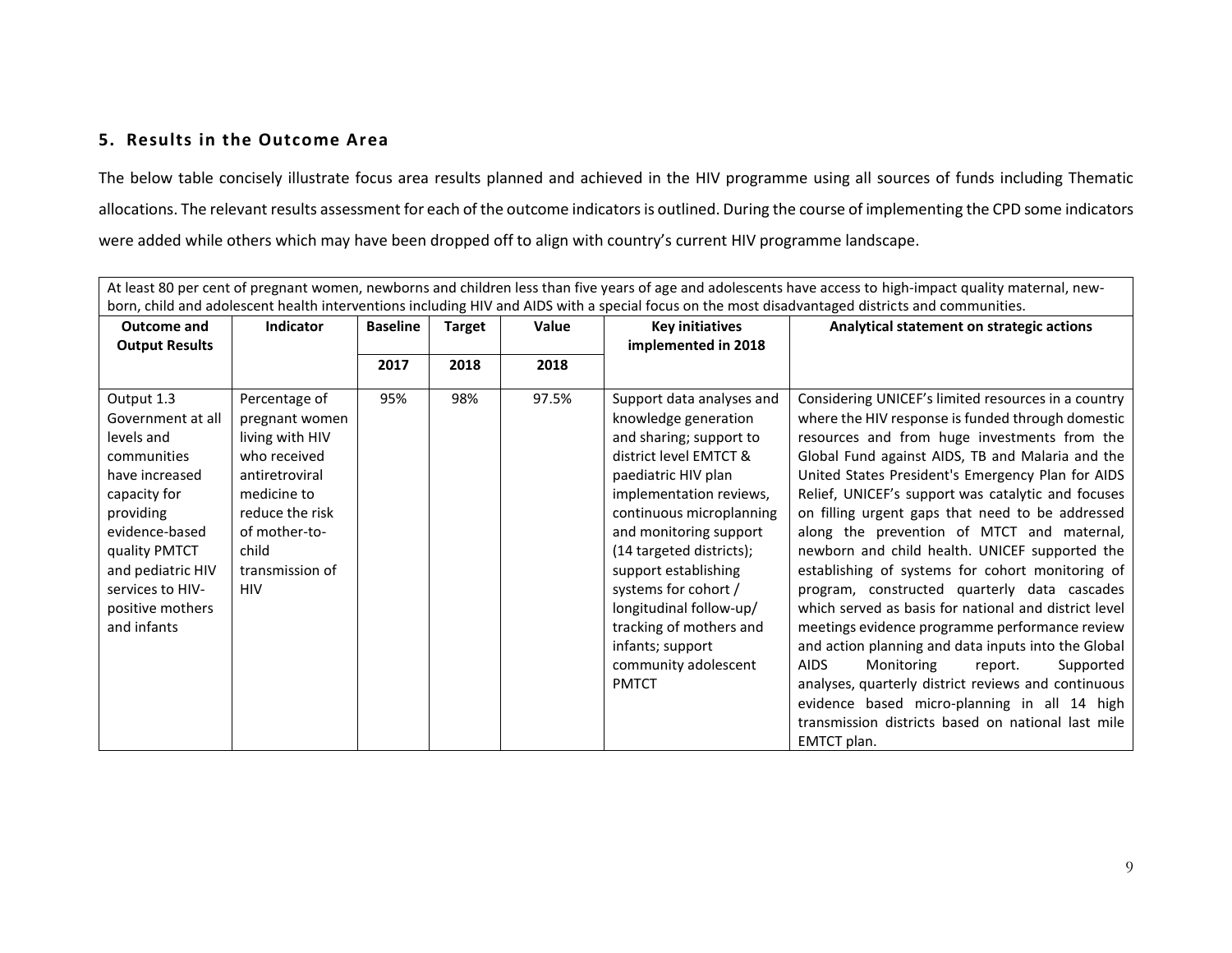## **5. Results in the Outcome Area**

The below table concisely illustrate focus area results planned and achieved in the HIV programme using all sources of funds including Thematic allocations. The relevant results assessment for each of the outcome indicators is outlined. During the course of implementing the CPD some indicators were added while others which may have been dropped off to align with country's current HIV programme landscape.

| born, child and adolescent health interventions including HIV and AIDS with a special focus on the most disadvantaged districts and communities.                                                                           |                                                                                                                                                                                   |                 |               |       |                                                                                                                                                                                                                                                                                                                                                                                                              |                                                                                                                                                                                                                                                                                                                                                                                                                                                                                                                                                                                                                                                                                                                                                                                                                                                                                                                                                                                    |  |
|----------------------------------------------------------------------------------------------------------------------------------------------------------------------------------------------------------------------------|-----------------------------------------------------------------------------------------------------------------------------------------------------------------------------------|-----------------|---------------|-------|--------------------------------------------------------------------------------------------------------------------------------------------------------------------------------------------------------------------------------------------------------------------------------------------------------------------------------------------------------------------------------------------------------------|------------------------------------------------------------------------------------------------------------------------------------------------------------------------------------------------------------------------------------------------------------------------------------------------------------------------------------------------------------------------------------------------------------------------------------------------------------------------------------------------------------------------------------------------------------------------------------------------------------------------------------------------------------------------------------------------------------------------------------------------------------------------------------------------------------------------------------------------------------------------------------------------------------------------------------------------------------------------------------|--|
| <b>Outcome and</b><br><b>Output Results</b>                                                                                                                                                                                | <b>Indicator</b>                                                                                                                                                                  | <b>Baseline</b> | <b>Target</b> | Value | <b>Key initiatives</b><br>implemented in 2018                                                                                                                                                                                                                                                                                                                                                                | Analytical statement on strategic actions                                                                                                                                                                                                                                                                                                                                                                                                                                                                                                                                                                                                                                                                                                                                                                                                                                                                                                                                          |  |
|                                                                                                                                                                                                                            |                                                                                                                                                                                   | 2017            | 2018          | 2018  |                                                                                                                                                                                                                                                                                                                                                                                                              |                                                                                                                                                                                                                                                                                                                                                                                                                                                                                                                                                                                                                                                                                                                                                                                                                                                                                                                                                                                    |  |
| Output 1.3<br>Government at all<br>levels and<br>communities<br>have increased<br>capacity for<br>providing<br>evidence-based<br>quality PMTCT<br>and pediatric HIV<br>services to HIV-<br>positive mothers<br>and infants | Percentage of<br>pregnant women<br>living with HIV<br>who received<br>antiretroviral<br>medicine to<br>reduce the risk<br>of mother-to-<br>child<br>transmission of<br><b>HIV</b> | 95%             | 98%           | 97.5% | Support data analyses and<br>knowledge generation<br>and sharing; support to<br>district level EMTCT &<br>paediatric HIV plan<br>implementation reviews,<br>continuous microplanning<br>and monitoring support<br>(14 targeted districts);<br>support establishing<br>systems for cohort /<br>longitudinal follow-up/<br>tracking of mothers and<br>infants; support<br>community adolescent<br><b>PMTCT</b> | Considering UNICEF's limited resources in a country<br>where the HIV response is funded through domestic<br>resources and from huge investments from the<br>Global Fund against AIDS, TB and Malaria and the<br>United States President's Emergency Plan for AIDS<br>Relief, UNICEF's support was catalytic and focuses<br>on filling urgent gaps that need to be addressed<br>along the prevention of MTCT and maternal,<br>newborn and child health. UNICEF supported the<br>establishing of systems for cohort monitoring of<br>program, constructed quarterly data cascades<br>which served as basis for national and district level<br>meetings evidence programme performance review<br>and action planning and data inputs into the Global<br><b>AIDS</b><br>Supported<br>Monitoring<br>report.<br>analyses, quarterly district reviews and continuous<br>evidence based micro-planning in all 14 high<br>transmission districts based on national last mile<br>EMTCT plan. |  |

At least 80 per cent of pregnant women, newborns and children less than five years of age and adolescents have access to high-impact quality maternal, new-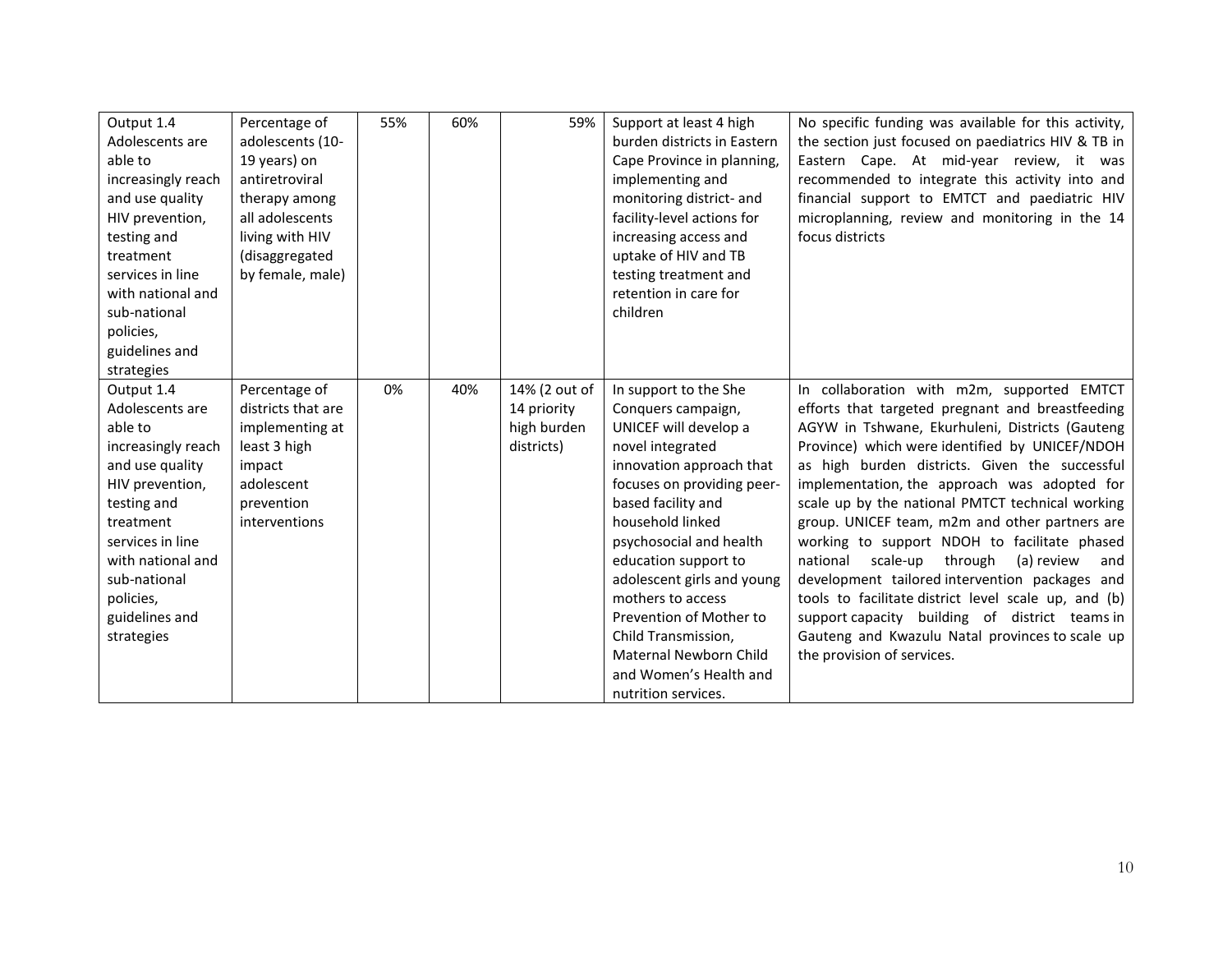| Output 1.4<br>Adolescents are<br>able to<br>increasingly reach<br>and use quality<br>HIV prevention,<br>testing and<br>treatment<br>services in line<br>with national and<br>sub-national<br>policies,<br>guidelines and<br>strategies | Percentage of<br>adolescents (10-<br>19 years) on<br>antiretroviral<br>therapy among<br>all adolescents<br>living with HIV<br>(disaggregated<br>by female, male) | 55% | 60% | 59%                                                       | Support at least 4 high<br>burden districts in Eastern<br>Cape Province in planning,<br>implementing and<br>monitoring district- and<br>facility-level actions for<br>increasing access and<br>uptake of HIV and TB<br>testing treatment and<br>retention in care for<br>children                                                                                                                                               | No specific funding was available for this activity,<br>the section just focused on paediatrics HIV & TB in<br>Eastern Cape. At mid-year review, it was<br>recommended to integrate this activity into and<br>financial support to EMTCT and paediatric HIV<br>microplanning, review and monitoring in the 14<br>focus districts                                                                                                                                                                                                                                                                                                                                                                                                                                 |
|----------------------------------------------------------------------------------------------------------------------------------------------------------------------------------------------------------------------------------------|------------------------------------------------------------------------------------------------------------------------------------------------------------------|-----|-----|-----------------------------------------------------------|---------------------------------------------------------------------------------------------------------------------------------------------------------------------------------------------------------------------------------------------------------------------------------------------------------------------------------------------------------------------------------------------------------------------------------|------------------------------------------------------------------------------------------------------------------------------------------------------------------------------------------------------------------------------------------------------------------------------------------------------------------------------------------------------------------------------------------------------------------------------------------------------------------------------------------------------------------------------------------------------------------------------------------------------------------------------------------------------------------------------------------------------------------------------------------------------------------|
| Output 1.4<br>Adolescents are<br>able to<br>increasingly reach<br>and use quality<br>HIV prevention,<br>testing and<br>treatment<br>services in line<br>with national and<br>sub-national<br>policies,<br>guidelines and<br>strategies | Percentage of<br>districts that are<br>implementing at<br>least 3 high<br>impact<br>adolescent<br>prevention<br>interventions                                    | 0%  | 40% | 14% (2 out of<br>14 priority<br>high burden<br>districts) | In support to the She<br>Conquers campaign,<br>UNICEF will develop a<br>novel integrated<br>innovation approach that<br>focuses on providing peer-<br>based facility and<br>household linked<br>psychosocial and health<br>education support to<br>adolescent girls and young<br>mothers to access<br>Prevention of Mother to<br>Child Transmission,<br>Maternal Newborn Child<br>and Women's Health and<br>nutrition services. | In collaboration with m2m, supported EMTCT<br>efforts that targeted pregnant and breastfeeding<br>AGYW in Tshwane, Ekurhuleni, Districts (Gauteng<br>Province) which were identified by UNICEF/NDOH<br>as high burden districts. Given the successful<br>implementation, the approach was adopted for<br>scale up by the national PMTCT technical working<br>group. UNICEF team, m2m and other partners are<br>working to support NDOH to facilitate phased<br>through<br>(a) review<br>national<br>scale-up<br>and<br>development tailored intervention packages and<br>tools to facilitate district level scale up, and (b)<br>support capacity building of district teams in<br>Gauteng and Kwazulu Natal provinces to scale up<br>the provision of services. |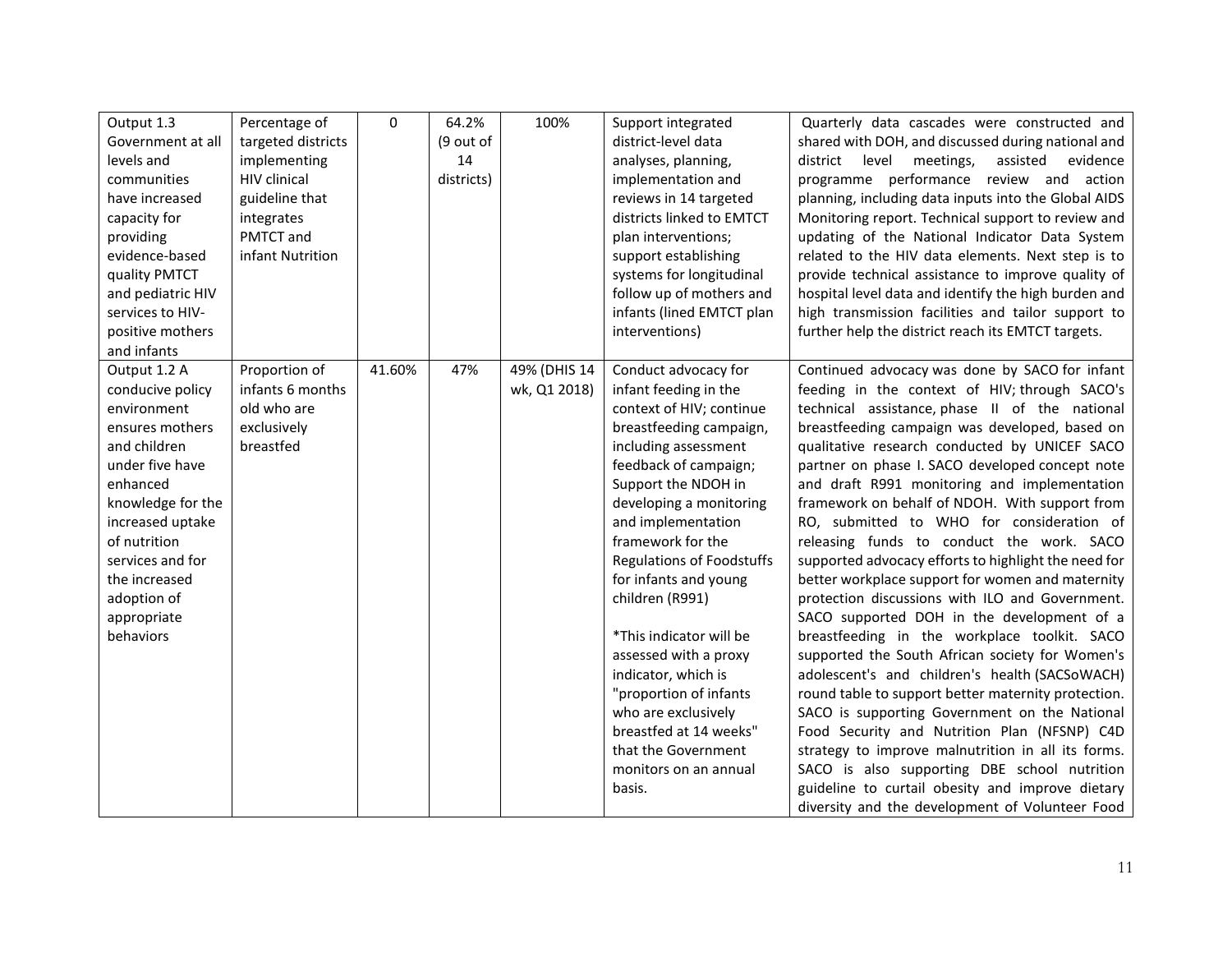| Output 1.3<br>Government at all<br>levels and<br>communities<br>have increased<br>capacity for<br>providing<br>evidence-based<br>quality PMTCT<br>and pediatric HIV<br>services to HIV-<br>positive mothers<br>and infants                                 | Percentage of<br>targeted districts<br>implementing<br><b>HIV</b> clinical<br>guideline that<br>integrates<br>PMTCT and<br>infant Nutrition | $\Omega$ | 64.2%<br>(9 out of<br>14<br>districts) | 100%                         | Support integrated<br>district-level data<br>analyses, planning,<br>implementation and<br>reviews in 14 targeted<br>districts linked to EMTCT<br>plan interventions;<br>support establishing<br>systems for longitudinal<br>follow up of mothers and<br>infants (lined EMTCT plan<br>interventions)                                                                                                                                                                                                                                                | Quarterly data cascades were constructed and<br>shared with DOH, and discussed during national and<br>level<br>meetings,<br>assisted<br>evidence<br>district<br>programme performance review and action<br>planning, including data inputs into the Global AIDS<br>Monitoring report. Technical support to review and<br>updating of the National Indicator Data System<br>related to the HIV data elements. Next step is to<br>provide technical assistance to improve quality of<br>hospital level data and identify the high burden and<br>high transmission facilities and tailor support to<br>further help the district reach its EMTCT targets.                                                                                                                                                                                                                                                                                                                                                                                                                                                                                                                                                                                     |
|------------------------------------------------------------------------------------------------------------------------------------------------------------------------------------------------------------------------------------------------------------|---------------------------------------------------------------------------------------------------------------------------------------------|----------|----------------------------------------|------------------------------|----------------------------------------------------------------------------------------------------------------------------------------------------------------------------------------------------------------------------------------------------------------------------------------------------------------------------------------------------------------------------------------------------------------------------------------------------------------------------------------------------------------------------------------------------|--------------------------------------------------------------------------------------------------------------------------------------------------------------------------------------------------------------------------------------------------------------------------------------------------------------------------------------------------------------------------------------------------------------------------------------------------------------------------------------------------------------------------------------------------------------------------------------------------------------------------------------------------------------------------------------------------------------------------------------------------------------------------------------------------------------------------------------------------------------------------------------------------------------------------------------------------------------------------------------------------------------------------------------------------------------------------------------------------------------------------------------------------------------------------------------------------------------------------------------------|
| Output 1.2 A<br>conducive policy<br>environment<br>ensures mothers<br>and children<br>under five have<br>enhanced<br>knowledge for the<br>increased uptake<br>of nutrition<br>services and for<br>the increased<br>adoption of<br>appropriate<br>behaviors | Proportion of<br>infants 6 months<br>old who are<br>exclusively<br>breastfed                                                                | 41.60%   | 47%                                    | 49% (DHIS 14<br>wk, Q1 2018) | Conduct advocacy for<br>infant feeding in the<br>context of HIV; continue<br>breastfeeding campaign,<br>including assessment<br>feedback of campaign;<br>Support the NDOH in<br>developing a monitoring<br>and implementation<br>framework for the<br><b>Regulations of Foodstuffs</b><br>for infants and young<br>children (R991)<br>*This indicator will be<br>assessed with a proxy<br>indicator, which is<br>"proportion of infants<br>who are exclusively<br>breastfed at 14 weeks"<br>that the Government<br>monitors on an annual<br>basis. | Continued advocacy was done by SACO for infant<br>feeding in the context of HIV; through SACO's<br>technical assistance, phase II of the national<br>breastfeeding campaign was developed, based on<br>qualitative research conducted by UNICEF SACO<br>partner on phase I. SACO developed concept note<br>and draft R991 monitoring and implementation<br>framework on behalf of NDOH. With support from<br>RO, submitted to WHO for consideration of<br>releasing funds to conduct the work. SACO<br>supported advocacy efforts to highlight the need for<br>better workplace support for women and maternity<br>protection discussions with ILO and Government.<br>SACO supported DOH in the development of a<br>breastfeeding in the workplace toolkit. SACO<br>supported the South African society for Women's<br>adolescent's and children's health (SACSoWACH)<br>round table to support better maternity protection.<br>SACO is supporting Government on the National<br>Food Security and Nutrition Plan (NFSNP) C4D<br>strategy to improve malnutrition in all its forms.<br>SACO is also supporting DBE school nutrition<br>guideline to curtail obesity and improve dietary<br>diversity and the development of Volunteer Food |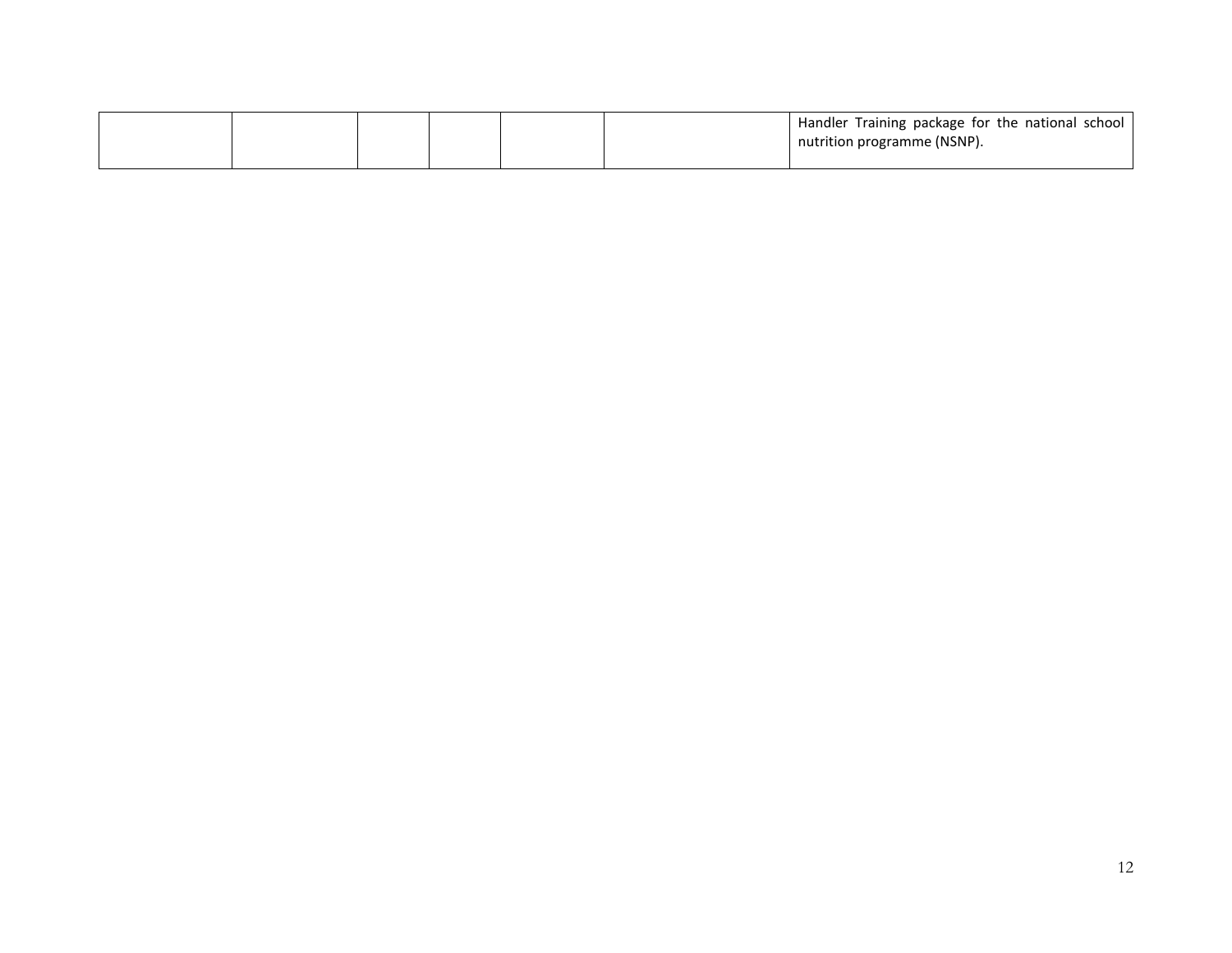|  |  |  | Handler Training package for the national school |
|--|--|--|--------------------------------------------------|
|  |  |  | I nutrition programme (NSNP).                    |
|  |  |  |                                                  |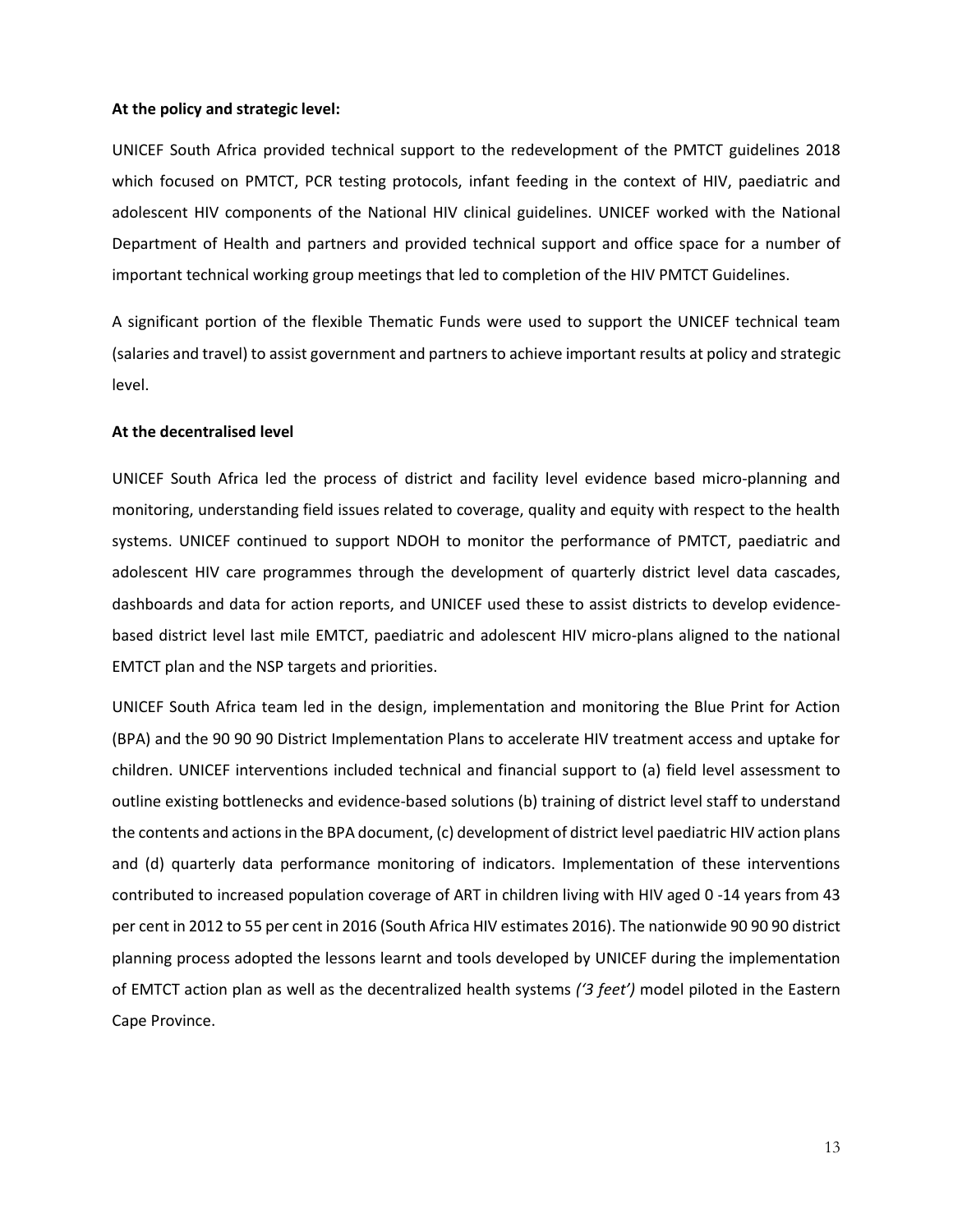#### **At the policy and strategic level:**

UNICEF South Africa provided technical support to the redevelopment of the PMTCT guidelines 2018 which focused on PMTCT, PCR testing protocols, infant feeding in the context of HIV, paediatric and adolescent HIV components of the National HIV clinical guidelines. UNICEF worked with the National Department of Health and partners and provided technical support and office space for a number of important technical working group meetings that led to completion of the HIV PMTCT Guidelines.

A significant portion of the flexible Thematic Funds were used to support the UNICEF technical team (salaries and travel) to assist government and partners to achieve important results at policy and strategic level.

#### **At the decentralised level**

UNICEF South Africa led the process of district and facility level evidence based micro-planning and monitoring, understanding field issues related to coverage, quality and equity with respect to the health systems. UNICEF continued to support NDOH to monitor the performance of PMTCT, paediatric and adolescent HIV care programmes through the development of quarterly district level data cascades, dashboards and data for action reports, and UNICEF used these to assist districts to develop evidencebased district level last mile EMTCT, paediatric and adolescent HIV micro-plans aligned to the national EMTCT plan and the NSP targets and priorities.

UNICEF South Africa team led in the design, implementation and monitoring the Blue Print for Action (BPA) and the 90 90 90 District Implementation Plans to accelerate HIV treatment access and uptake for children. UNICEF interventions included technical and financial support to (a) field level assessment to outline existing bottlenecks and evidence-based solutions (b) training of district level staff to understand the contents and actions in the BPA document, (c) development of district level paediatric HIV action plans and (d) quarterly data performance monitoring of indicators. Implementation of these interventions contributed to increased population coverage of ART in children living with HIV aged 0 -14 years from 43 per cent in 2012 to 55 per cent in 2016 (South Africa HIV estimates 2016). The nationwide 90 90 90 district planning process adopted the lessons learnt and tools developed by UNICEF during the implementation of EMTCT action plan as well as the decentralized health systems *('3 feet')* model piloted in the Eastern Cape Province.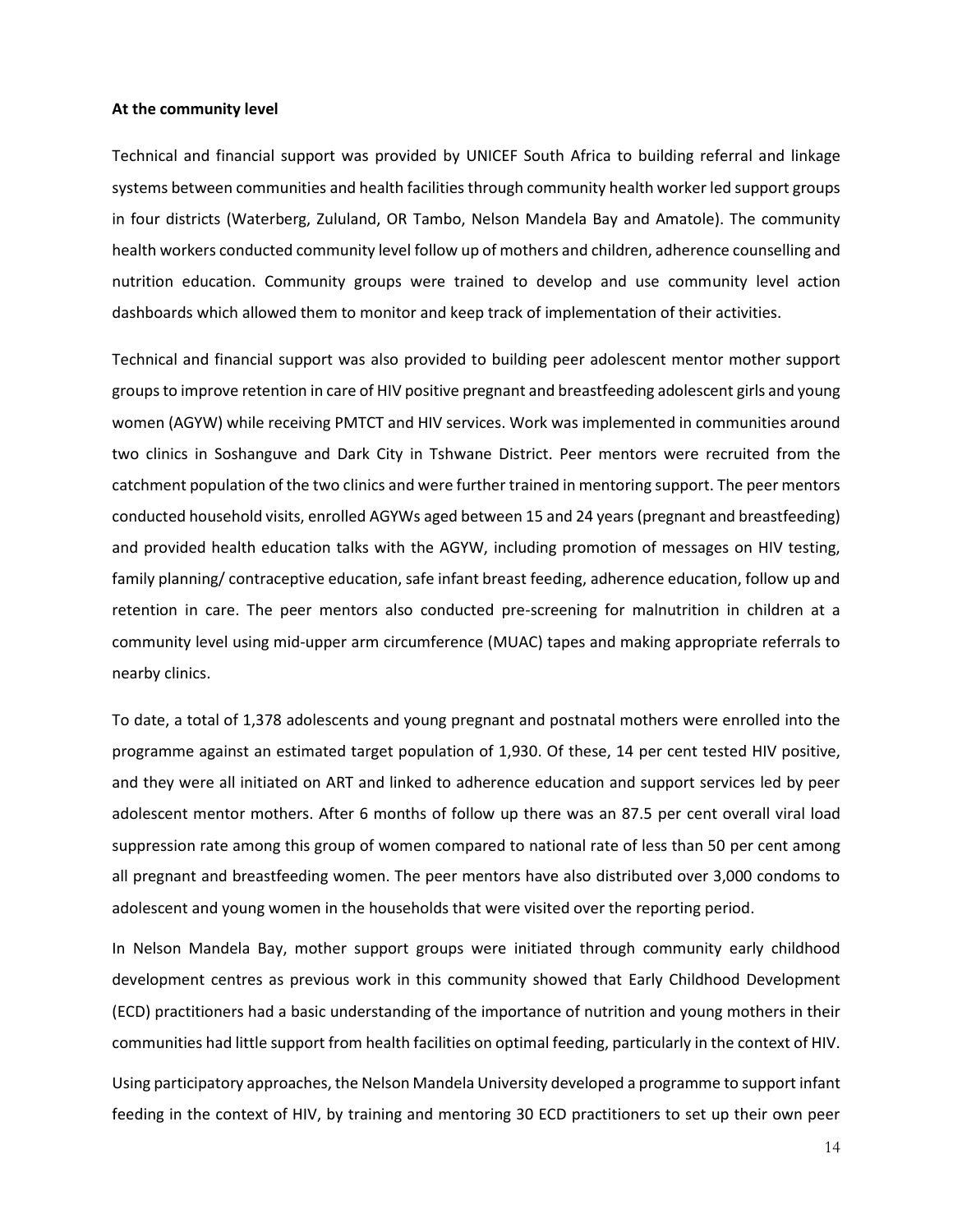#### **At the community level**

Technical and financial support was provided by UNICEF South Africa to building referral and linkage systems between communities and health facilities through community health worker led support groups in four districts (Waterberg, Zululand, OR Tambo, Nelson Mandela Bay and Amatole). The community health workers conducted community level follow up of mothers and children, adherence counselling and nutrition education. Community groups were trained to develop and use community level action dashboards which allowed them to monitor and keep track of implementation of their activities.

Technical and financial support was also provided to building peer adolescent mentor mother support groups to improve retention in care of HIV positive pregnant and breastfeeding adolescent girls and young women (AGYW) while receiving PMTCT and HIV services. Work was implemented in communities around two clinics in Soshanguve and Dark City in Tshwane District. Peer mentors were recruited from the catchment population of the two clinics and were further trained in mentoring support. The peer mentors conducted household visits, enrolled AGYWs aged between 15 and 24 years (pregnant and breastfeeding) and provided health education talks with the AGYW, including promotion of messages on HIV testing, family planning/ contraceptive education, safe infant breast feeding, adherence education, follow up and retention in care. The peer mentors also conducted pre-screening for malnutrition in children at a community level using mid-upper arm circumference (MUAC) tapes and making appropriate referrals to nearby clinics.

To date, a total of 1,378 adolescents and young pregnant and postnatal mothers were enrolled into the programme against an estimated target population of 1,930. Of these, 14 per cent tested HIV positive, and they were all initiated on ART and linked to adherence education and support services led by peer adolescent mentor mothers. After 6 months of follow up there was an 87.5 per cent overall viral load suppression rate among this group of women compared to national rate of less than 50 per cent among all pregnant and breastfeeding women. The peer mentors have also distributed over 3,000 condoms to adolescent and young women in the households that were visited over the reporting period.

In Nelson Mandela Bay, mother support groups were initiated through community early childhood development centres as previous work in this community showed that Early Childhood Development (ECD) practitioners had a basic understanding of the importance of nutrition and young mothers in their communities had little support from health facilities on optimal feeding, particularly in the context of HIV.

Using participatory approaches, the Nelson Mandela University developed a programme to support infant feeding in the context of HIV, by training and mentoring 30 ECD practitioners to set up their own peer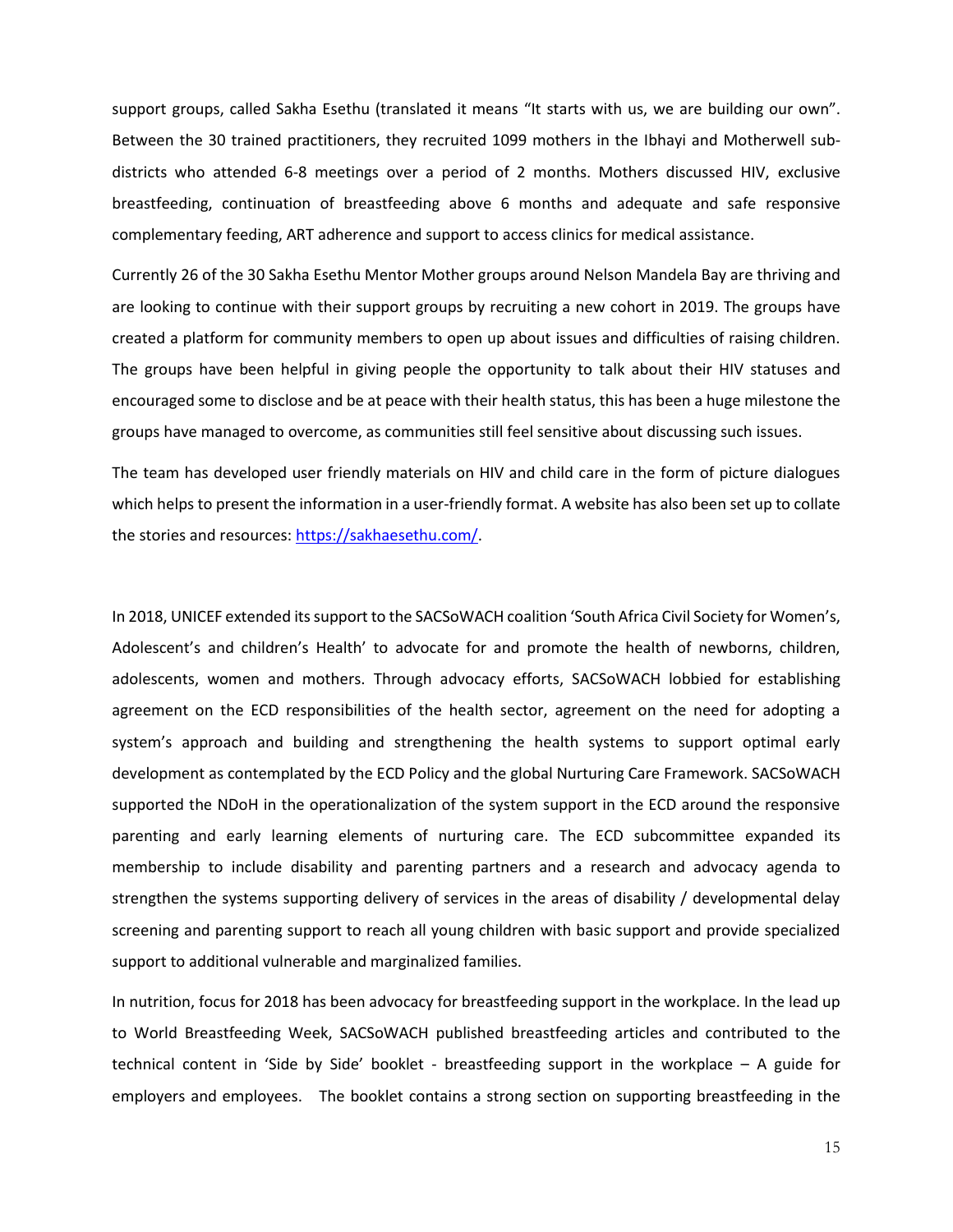support groups, called Sakha Esethu (translated it means "It starts with us, we are building our own". Between the 30 trained practitioners, they recruited 1099 mothers in the Ibhayi and Motherwell subdistricts who attended 6-8 meetings over a period of 2 months. Mothers discussed HIV, exclusive breastfeeding, continuation of breastfeeding above 6 months and adequate and safe responsive complementary feeding, ART adherence and support to access clinics for medical assistance.

Currently 26 of the 30 Sakha Esethu Mentor Mother groups around Nelson Mandela Bay are thriving and are looking to continue with their support groups by recruiting a new cohort in 2019. The groups have created a platform for community members to open up about issues and difficulties of raising children. The groups have been helpful in giving people the opportunity to talk about their HIV statuses and encouraged some to disclose and be at peace with their health status, this has been a huge milestone the groups have managed to overcome, as communities still feel sensitive about discussing such issues.

The team has developed user friendly materials on HIV and child care in the form of picture dialogues which helps to present the information in a user-friendly format. A website has also been set up to collate the stories and resources: [https://sakhaesethu.com/.](https://sakhaesethu.com/)

In 2018, UNICEF extended its support to the SACSoWACH coalition 'South Africa Civil Society for Women's, Adolescent's and children's Health' to advocate for and promote the health of newborns, children, adolescents, women and mothers. Through advocacy efforts, SACSoWACH lobbied for establishing agreement on the ECD responsibilities of the health sector, agreement on the need for adopting a system's approach and building and strengthening the health systems to support optimal early development as contemplated by the ECD Policy and the global Nurturing Care Framework. SACSoWACH supported the NDoH in the operationalization of the system support in the ECD around the responsive parenting and early learning elements of nurturing care. The ECD subcommittee expanded its membership to include disability and parenting partners and a research and advocacy agenda to strengthen the systems supporting delivery of services in the areas of disability / developmental delay screening and parenting support to reach all young children with basic support and provide specialized support to additional vulnerable and marginalized families.

In nutrition, focus for 2018 has been advocacy for breastfeeding support in the workplace. In the lead up to World Breastfeeding Week, SACSoWACH published breastfeeding articles and contributed to the technical content in 'Side by Side' booklet - breastfeeding support in the workplace – A guide for employers and employees. The booklet contains a strong section on supporting breastfeeding in the

15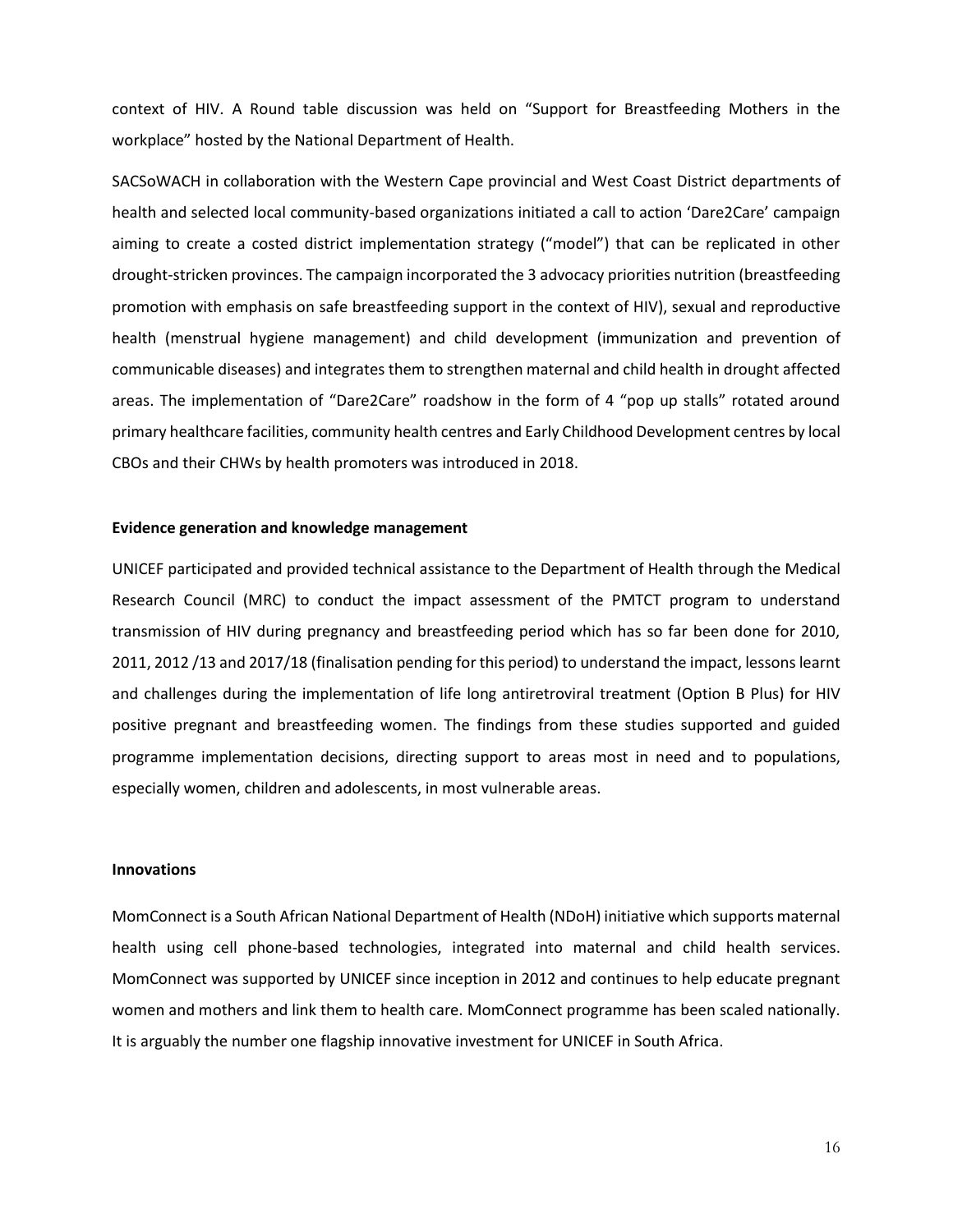context of HIV. A Round table discussion was held on "Support for Breastfeeding Mothers in the workplace" hosted by the National Department of Health.

SACSoWACH in collaboration with the Western Cape provincial and West Coast District departments of health and selected local community-based organizations initiated a call to action 'Dare2Care' campaign aiming to create a costed district implementation strategy ("model") that can be replicated in other drought-stricken provinces. The campaign incorporated the 3 advocacy priorities nutrition (breastfeeding promotion with emphasis on safe breastfeeding support in the context of HIV), sexual and reproductive health (menstrual hygiene management) and child development (immunization and prevention of communicable diseases) and integrates them to strengthen maternal and child health in drought affected areas. The implementation of "Dare2Care" roadshow in the form of 4 "pop up stalls" rotated around primary healthcare facilities, community health centres and Early Childhood Development centres by local CBOs and their CHWs by health promoters was introduced in 2018.

#### **Evidence generation and knowledge management**

UNICEF participated and provided technical assistance to the Department of Health through the Medical Research Council (MRC) to conduct the impact assessment of the PMTCT program to understand transmission of HIV during pregnancy and breastfeeding period which has so far been done for 2010, 2011, 2012 /13 and 2017/18 (finalisation pending for this period) to understand the impact, lessons learnt and challenges during the implementation of life long antiretroviral treatment (Option B Plus) for HIV positive pregnant and breastfeeding women. The findings from these studies supported and guided programme implementation decisions, directing support to areas most in need and to populations, especially women, children and adolescents, in most vulnerable areas.

#### **Innovations**

MomConnect is a South African National Department of Health (NDoH) initiative which supports maternal health using cell phone-based technologies, integrated into maternal and child health services. MomConnect was supported by UNICEF since inception in 2012 and continues to help educate pregnant women and mothers and link them to health care. MomConnect programme has been scaled nationally. It is arguably the number one flagship innovative investment for UNICEF in South Africa.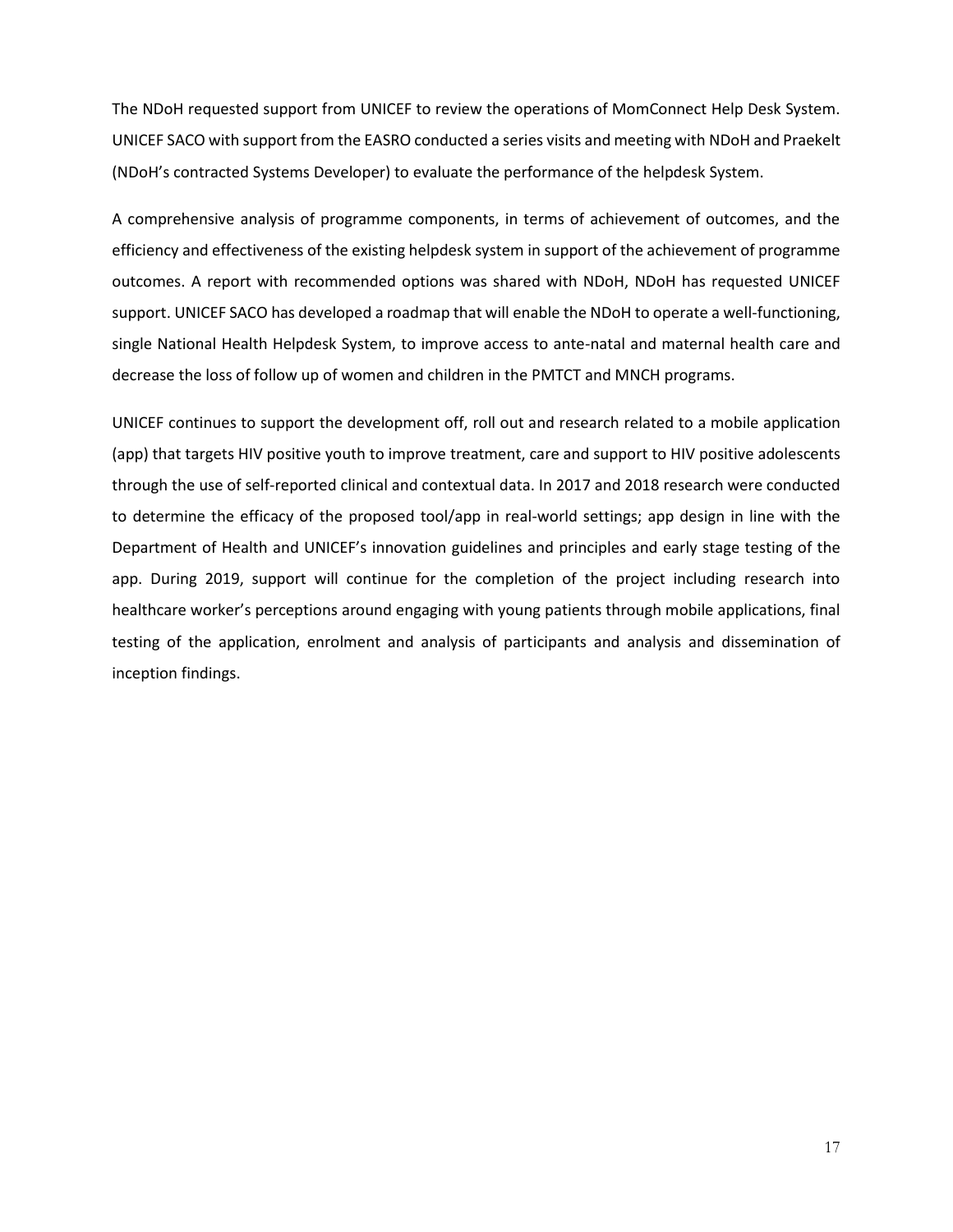The NDoH requested support from UNICEF to review the operations of MomConnect Help Desk System. UNICEF SACO with support from the EASRO conducted a series visits and meeting with NDoH and Praekelt (NDoH's contracted Systems Developer) to evaluate the performance of the helpdesk System.

A comprehensive analysis of programme components, in terms of achievement of outcomes, and the efficiency and effectiveness of the existing helpdesk system in support of the achievement of programme outcomes. A report with recommended options was shared with NDoH, NDoH has requested UNICEF support. UNICEF SACO has developed a roadmap that will enable the NDoH to operate a well-functioning, single National Health Helpdesk System, to improve access to ante-natal and maternal health care and decrease the loss of follow up of women and children in the PMTCT and MNCH programs.

UNICEF continues to support the development off, roll out and research related to a mobile application (app) that targets HIV positive youth to improve treatment, care and support to HIV positive adolescents through the use of self-reported clinical and contextual data. In 2017 and 2018 research were conducted to determine the efficacy of the proposed tool/app in real-world settings; app design in line with the Department of Health and UNICEF's innovation guidelines and principles and early stage testing of the app. During 2019, support will continue for the completion of the project including research into healthcare worker's perceptions around engaging with young patients through mobile applications, final testing of the application, enrolment and analysis of participants and analysis and dissemination of inception findings.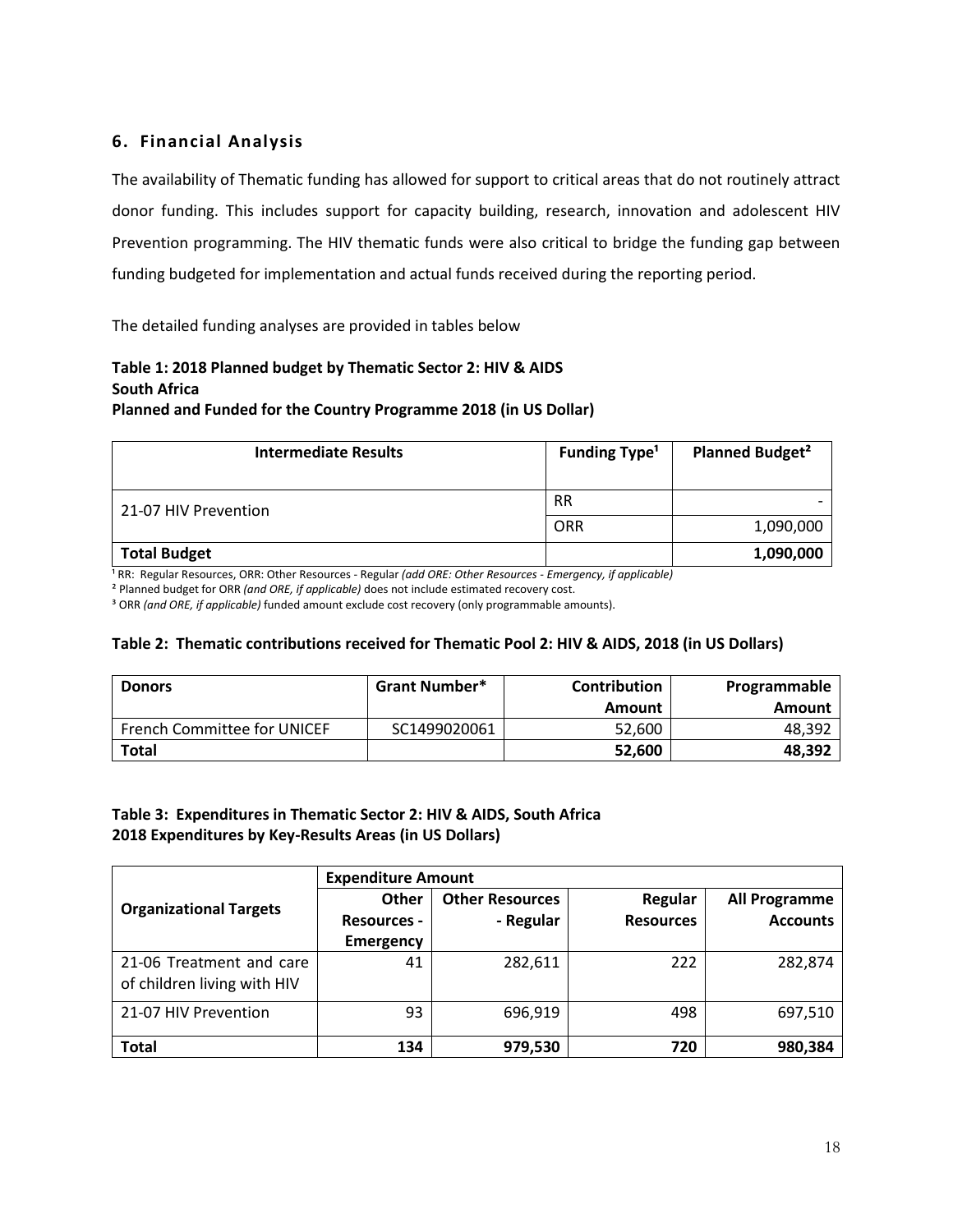# <span id="page-17-0"></span>**6. Financial Analysis**

The availability of Thematic funding has allowed for support to critical areas that do not routinely attract donor funding. This includes support for capacity building, research, innovation and adolescent HIV Prevention programming. The HIV thematic funds were also critical to bridge the funding gap between funding budgeted for implementation and actual funds received during the reporting period.

The detailed funding analyses are provided in tables below

# <span id="page-17-1"></span>**Table 1: 2018 Planned budget by Thematic Sector 2: HIV & AIDS South Africa**

**Planned and Funded for the Country Programme 2018 (in US Dollar)**

| <b>Intermediate Results</b> | <b>Funding Type<sup>1</sup></b> | <b>Planned Budget<sup>2</sup></b> |
|-----------------------------|---------------------------------|-----------------------------------|
| 21-07 HIV Prevention        | <b>RR</b>                       |                                   |
|                             | <b>ORR</b>                      | 1,090,000                         |
| <b>Total Budget</b>         |                                 | 1,090,000                         |

<sup>1</sup> RR: Regular Resources, ORR: Other Resources - Regular *(add ORE: Other Resources - Emergency, if applicable)* 

² Planned budget for ORR *(and ORE, if applicable)* does not include estimated recovery cost.

³ ORR *(and ORE, if applicable)* funded amount exclude cost recovery (only programmable amounts).

#### **Table 2: Thematic contributions received for Thematic Pool 2: HIV & AIDS, 2018 (in US Dollars)**

| <b>Donors</b>                      | <b>Grant Number*</b> | <b>Contribution</b> | Programmable |
|------------------------------------|----------------------|---------------------|--------------|
|                                    |                      | Amount              | Amount       |
| <b>French Committee for UNICEF</b> | SC1499020061         | 52.600              | 48,392       |
| Total                              |                      | 52,600              | 48,392       |

### **Table 3: Expenditures in Thematic Sector 2: HIV & AIDS, South Africa 2018 Expenditures by Key-Results Areas (in US Dollars)**

|                               | <b>Expenditure Amount</b> |                        |                  |                      |  |  |  |
|-------------------------------|---------------------------|------------------------|------------------|----------------------|--|--|--|
| <b>Organizational Targets</b> | Other                     | <b>Other Resources</b> | Regular          | <b>All Programme</b> |  |  |  |
|                               | <b>Resources -</b>        | - Regular              | <b>Resources</b> | <b>Accounts</b>      |  |  |  |
|                               | <b>Emergency</b>          |                        |                  |                      |  |  |  |
| 21-06 Treatment and care      | 41                        | 282,611                | 222              | 282,874              |  |  |  |
| of children living with HIV   |                           |                        |                  |                      |  |  |  |
| 21-07 HIV Prevention          | 93                        | 696,919                | 498              | 697,510              |  |  |  |
|                               |                           |                        |                  |                      |  |  |  |
| <b>Total</b>                  | 134                       | 979,530                | 720              | 980,384              |  |  |  |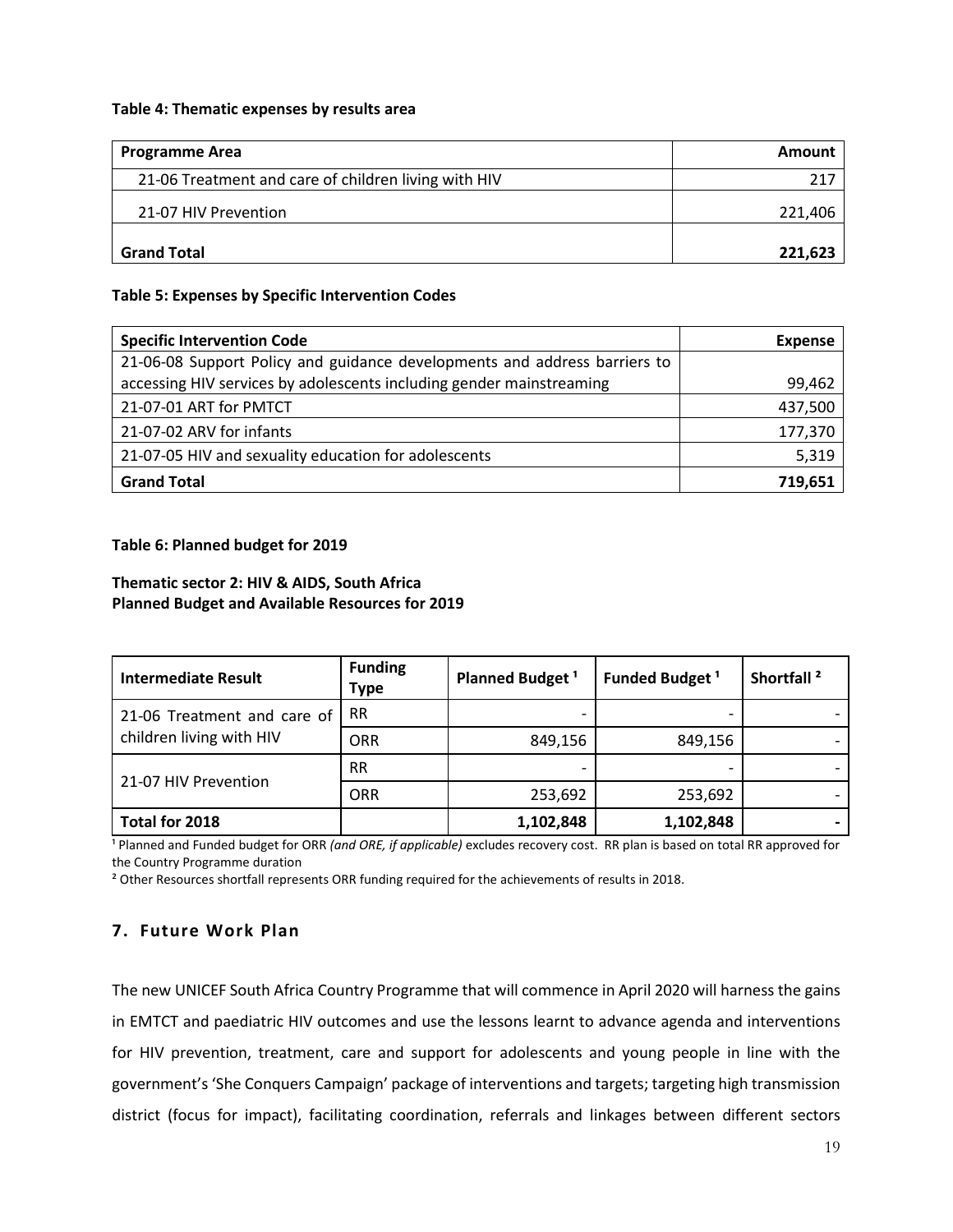#### **Table 4: Thematic expenses by results area**

| <b>Programme Area</b>                                | Amount  |
|------------------------------------------------------|---------|
| 21-06 Treatment and care of children living with HIV | 217     |
| 21-07 HIV Prevention                                 | 221,406 |
| <b>Grand Total</b>                                   | 221,623 |

#### **Table 5: Expenses by Specific Intervention Codes**

| <b>Specific Intervention Code</b>                                         | <b>Expense</b> |
|---------------------------------------------------------------------------|----------------|
| 21-06-08 Support Policy and guidance developments and address barriers to |                |
| accessing HIV services by adolescents including gender mainstreaming      | 99,462         |
| 21-07-01 ART for PMTCT                                                    | 437,500        |
| 21-07-02 ARV for infants                                                  | 177,370        |
| 21-07-05 HIV and sexuality education for adolescents                      | 5,319          |
| <b>Grand Total</b>                                                        | 719,651        |

#### **Table 6: Planned budget for 2019**

### **Thematic sector 2: HIV & AIDS, South Africa Planned Budget and Available Resources for 2019**

| Intermediate Result                                     | <b>Funding</b><br><b>Type</b> | Planned Budget <sup>1</sup> | Funded Budget <sup>1</sup> | Shortfall <sup>2</sup> |
|---------------------------------------------------------|-------------------------------|-----------------------------|----------------------------|------------------------|
| 21-06 Treatment and care of<br>children living with HIV | <b>RR</b>                     |                             |                            |                        |
|                                                         | <b>ORR</b>                    | 849,156                     | 849,156                    |                        |
| 21-07 HIV Prevention                                    | <b>RR</b>                     |                             |                            |                        |
|                                                         | <b>ORR</b>                    | 253,692                     | 253,692                    |                        |
| Total for 2018                                          |                               | 1,102,848                   | 1,102,848                  |                        |

<sup>1</sup> Planned and Funded budget for ORR *(and ORE, if applicable)* excludes recovery cost. RR plan is based on total RR approved for the Country Programme duration

² Other Resources shortfall represents ORR funding required for the achievements of results in 2018.

### **7. Future Work Plan**

The new UNICEF South Africa Country Programme that will commence in April 2020 will harness the gains in EMTCT and paediatric HIV outcomes and use the lessons learnt to advance agenda and interventions for HIV prevention, treatment, care and support for adolescents and young people in line with the government's 'She Conquers Campaign' package of interventions and targets; targeting high transmission district (focus for impact), facilitating coordination, referrals and linkages between different sectors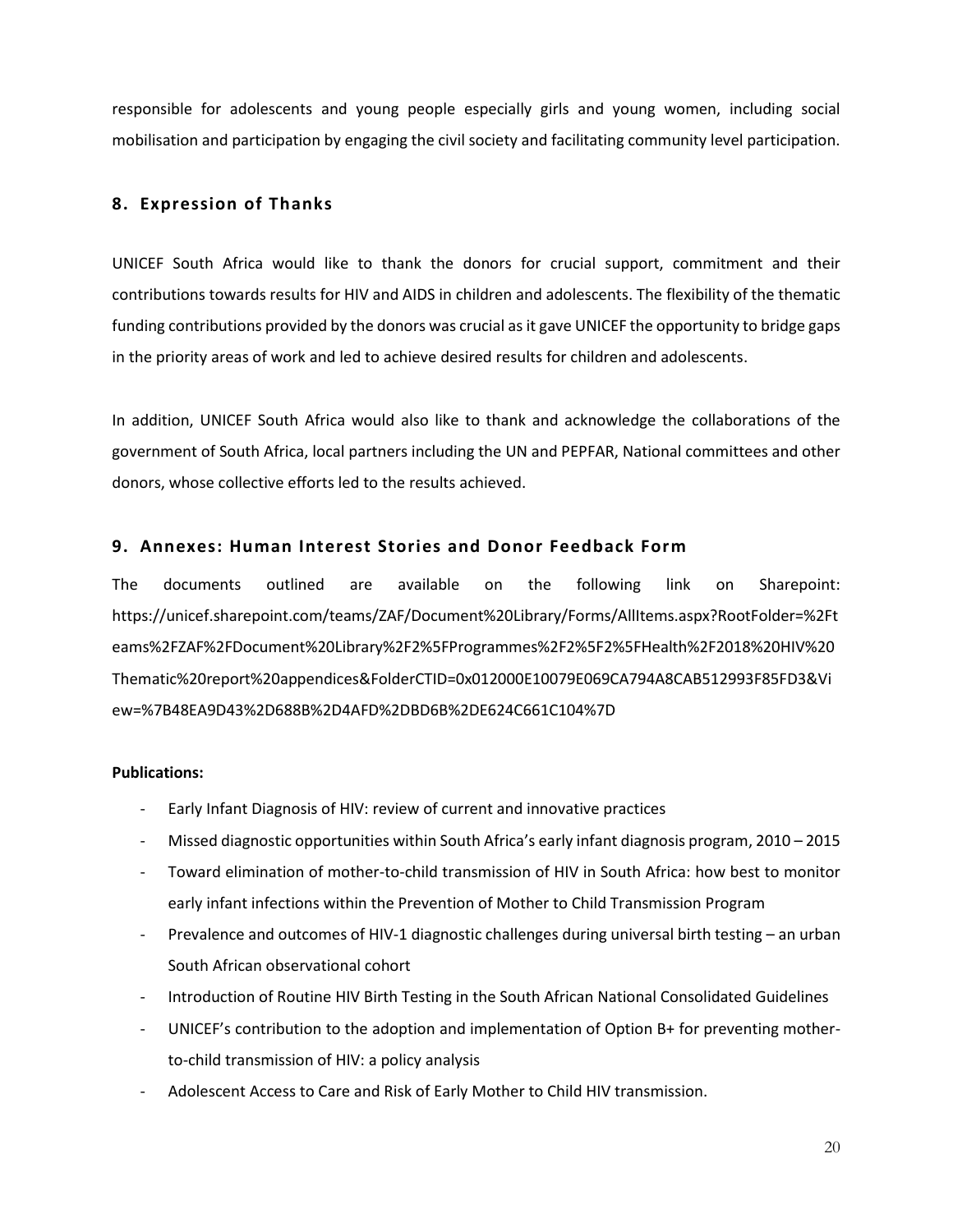responsible for adolescents and young people especially girls and young women, including social mobilisation and participation by engaging the civil society and facilitating community level participation.

### <span id="page-19-0"></span>**8. Expression of Thanks**

UNICEF South Africa would like to thank the donors for crucial support, commitment and their contributions towards results for HIV and AIDS in children and adolescents. The flexibility of the thematic funding contributions provided by the donors was crucial as it gave UNICEF the opportunity to bridge gaps in the priority areas of work and led to achieve desired results for children and adolescents.

In addition, UNICEF South Africa would also like to thank and acknowledge the collaborations of the government of South Africa, local partners including the UN and PEPFAR, National committees and other donors, whose collective efforts led to the results achieved.

#### <span id="page-19-1"></span>**9. Annexes: Human Interest Stories and Donor Feedback Form**

The documents outlined are available on the following link on Sharepoint: https://unicef.sharepoint.com/teams/ZAF/Document%20Library/Forms/AllItems.aspx?RootFolder=%2Ft eams%2FZAF%2FDocument%20Library%2F2%5FProgrammes%2F2%5F2%5FHealth%2F2018%20HIV%20 Thematic%20report%20appendices&FolderCTID=0x012000E10079E069CA794A8CAB512993F85FD3&Vi ew=%7B48EA9D43%2D688B%2D4AFD%2DBD6B%2DE624C661C104%7D

#### **Publications:**

- Early Infant Diagnosis of HIV: review of current and innovative practices
- Missed diagnostic opportunities within South Africa's early infant diagnosis program, 2010 2015
- Toward elimination of mother-to-child transmission of HIV in South Africa: how best to monitor early infant infections within the Prevention of Mother to Child Transmission Program
- Prevalence and outcomes of HIV-1 diagnostic challenges during universal birth testing an urban South African observational cohort
- Introduction of Routine HIV Birth Testing in the South African National Consolidated Guidelines
- UNICEF's contribution to the adoption and implementation of Option B+ for preventing motherto-child transmission of HIV: a policy analysis
- Adolescent Access to Care and Risk of Early Mother to Child HIV transmission.